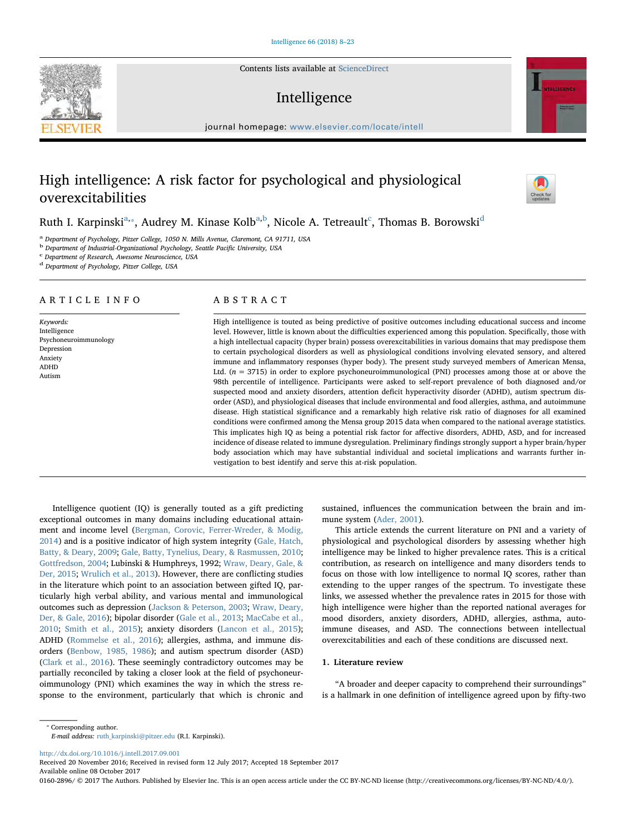Contents lists available at [ScienceDirect](http://www.sciencedirect.com/science/journal/01602896)

# Intelligence

journal homepage: [www.elsevier.com/locate/intell](https://www.elsevier.com/locate/intell)

# High intelligence: A risk factor for psychological and physiological overexcitabilities

Ruth I. K[a](#page-0-0)rpinski<sup>[a,](#page-0-0)</sup>\*, Audrey M. Kinase Kol[b](#page-0-2)<sup>a,b</sup>, Ni[c](#page-0-3)ole A. Tetreault<sup>c</sup>, Thomas B. Borowski<sup>[d](#page-0-4)</sup>

<span id="page-0-0"></span><sup>a</sup> Department of Psychology, Pitzer College, 1050 N. Mills Avenue, Claremont, CA 91711, USA

<span id="page-0-2"></span>b Department of Industrial-Organizational Psychology, Seattle Pacific University, USA<br>c Department of Research, Awesome Neuroscience, USA

<span id="page-0-3"></span>

<span id="page-0-4"></span><sup>d</sup> Department of Psychology, Pitzer College, USA

# ARTICLE INFO

Keywords: Intelligence Psychoneuroimmunology Depression Anxiety ADHD Autism

# ABSTRACT

High intelligence is touted as being predictive of positive outcomes including educational success and income level. However, little is known about the difficulties experienced among this population. Specifically, those with a high intellectual capacity (hyper brain) possess overexcitabilities in various domains that may predispose them to certain psychological disorders as well as physiological conditions involving elevated sensory, and altered immune and inflammatory responses (hyper body). The present study surveyed members of American Mensa, Ltd.  $(n = 3715)$  in order to explore psychoneuroimmunological (PNI) processes among those at or above the 98th percentile of intelligence. Participants were asked to self-report prevalence of both diagnosed and/or suspected mood and anxiety disorders, attention deficit hyperactivity disorder (ADHD), autism spectrum disorder (ASD), and physiological diseases that include environmental and food allergies, asthma, and autoimmune disease. High statistical significance and a remarkably high relative risk ratio of diagnoses for all examined conditions were confirmed among the Mensa group 2015 data when compared to the national average statistics. This implicates high IQ as being a potential risk factor for affective disorders, ADHD, ASD, and for increased incidence of disease related to immune dysregulation. Preliminary findings strongly support a hyper brain/hyper body association which may have substantial individual and societal implications and warrants further investigation to best identify and serve this at-risk population.

Intelligence quotient (IQ) is generally touted as a gift predicting exceptional outcomes in many domains including educational attainment and income level ([Bergman, Corovic, Ferrer-Wreder, & Modig,](#page-12-0) [2014\)](#page-12-0) and is a positive indicator of high system integrity ([Gale, Hatch,](#page-13-0) [Batty, & Deary, 2009](#page-13-0); [Gale, Batty, Tynelius, Deary, & Rasmussen, 2010](#page-13-1); [Gottfredson, 2004](#page-13-2); Lubinski & Humphreys, 1992; [Wraw, Deary, Gale, &](#page-15-0) [Der, 2015;](#page-15-0) [Wrulich et al., 2013](#page-15-1)). However, there are conflicting studies in the literature which point to an association between gifted IQ, particularly high verbal ability, and various mental and immunological outcomes such as depression [\(Jackson & Peterson, 2003;](#page-13-3) [Wraw, Deary,](#page-15-2) [Der, & Gale, 2016](#page-15-2)); bipolar disorder ([Gale et al., 2013;](#page-13-4) [MacCabe et al.,](#page-14-0) [2010;](#page-14-0) [Smith et al., 2015\)](#page-15-3); anxiety disorders ([Lancon et al., 2015](#page-14-1)); ADHD ([Rommelse et al., 2016](#page-14-2)); allergies, asthma, and immune disorders ([Benbow, 1985, 1986\)](#page-12-1); and autism spectrum disorder (ASD) ([Clark et al., 2016](#page-13-5)). These seemingly contradictory outcomes may be partially reconciled by taking a closer look at the field of psychoneuroimmunology (PNI) which examines the way in which the stress response to the environment, particularly that which is chronic and

sustained, influences the communication between the brain and immune system ([Ader, 2001](#page-12-2)).

This article extends the current literature on PNI and a variety of physiological and psychological disorders by assessing whether high intelligence may be linked to higher prevalence rates. This is a critical contribution, as research on intelligence and many disorders tends to focus on those with low intelligence to normal IQ scores, rather than extending to the upper ranges of the spectrum. To investigate these links, we assessed whether the prevalence rates in 2015 for those with high intelligence were higher than the reported national averages for mood disorders, anxiety disorders, ADHD, allergies, asthma, autoimmune diseases, and ASD. The connections between intellectual overexcitabilities and each of these conditions are discussed next.

# 1. Literature review

"A broader and deeper capacity to comprehend their surroundings" is a hallmark in one definition of intelligence agreed upon by fifty-two

<http://dx.doi.org/10.1016/j.intell.2017.09.001>

E-mail address: [ruth\\_karpinski@pitzer.edu](mailto:ruth_karpinski@pitzer.edu) (R.I. Karpinski).

Received 20 November 2016; Received in revised form 12 July 2017; Accepted 18 September 2017

Available online 08 October 2017

<span id="page-0-1"></span>⁎ Corresponding author.

0160-2896/ © 2017 The Authors. Published by Elsevier Inc. This is an open access article under the CC BY-NC-ND license (http://creativecommons.org/licenses/BY-NC-ND/4.0/).





[T](http://crossmark.crossref.org/dialog/?doi=10.1016/j.intell.2017.09.001&domain=pdf)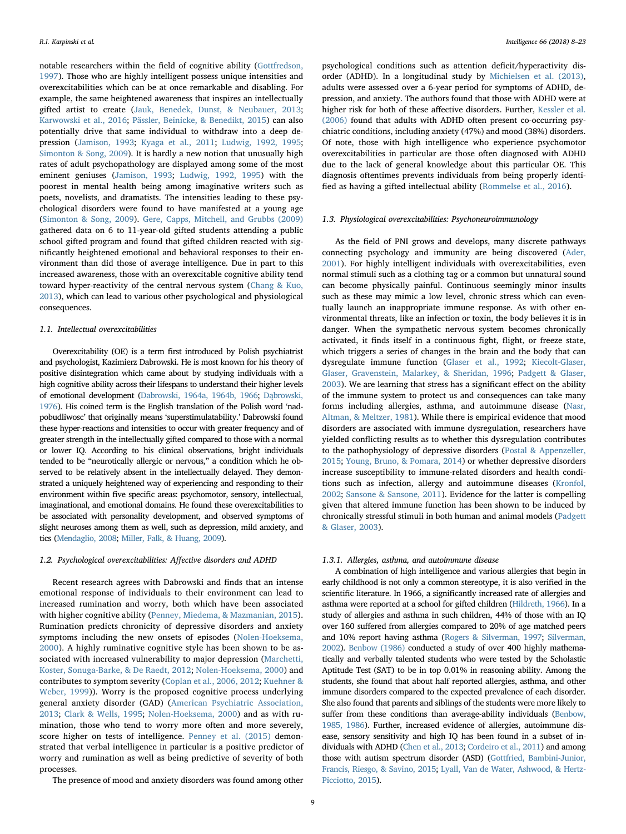notable researchers within the field of cognitive ability [\(Gottfredson,](#page-13-6) [1997\)](#page-13-6). Those who are highly intelligent possess unique intensities and overexcitabilities which can be at once remarkable and disabling. For example, the same heightened awareness that inspires an intellectually gifted artist to create ([Jauk, Benedek, Dunst, & Neubauer, 2013](#page-13-7); [Karwowski et al., 2016;](#page-13-8) [Pässler, Beinicke, & Benedikt, 2015\)](#page-14-3) can also potentially drive that same individual to withdraw into a deep depression [\(Jamison, 1993;](#page-13-9) [Kyaga et al., 2011;](#page-14-4) [Ludwig, 1992, 1995](#page-14-5); [Simonton & Song, 2009\)](#page-15-4). It is hardly a new notion that unusually high rates of adult psychopathology are displayed among some of the most eminent geniuses ([Jamison, 1993](#page-13-9); [Ludwig, 1992, 1995](#page-14-5)) with the poorest in mental health being among imaginative writers such as poets, novelists, and dramatists. The intensities leading to these psychological disorders were found to have manifested at a young age ([Simonton & Song, 2009\)](#page-15-4). [Gere, Capps, Mitchell, and Grubbs \(2009\)](#page-13-10) gathered data on 6 to 11-year-old gifted students attending a public school gifted program and found that gifted children reacted with significantly heightened emotional and behavioral responses to their environment than did those of average intelligence. Due in part to this increased awareness, those with an overexcitable cognitive ability tend toward hyper-reactivity of the central nervous system [\(Chang & Kuo,](#page-13-11) [2013\)](#page-13-11), which can lead to various other psychological and physiological consequences.

#### 1.1. Intellectual overexcitabilities

Overexcitability (OE) is a term first introduced by Polish psychiatrist and psychologist, Kazimierz Dabrowski. He is most known for his theory of positive disintegration which came about by studying individuals with a high cognitive ability across their lifespans to understand their higher levels of emotional development [\(Dabrowski, 1964a, 1964b, 1966](#page-13-12); Dą[browski,](#page-13-13) [1976\)](#page-13-13). His coined term is the English translation of the Polish word 'nadpobudliwosc' that originally means 'superstimulatability.' Dabrowski found these hyper-reactions and intensities to occur with greater frequency and of greater strength in the intellectually gifted compared to those with a normal or lower IQ. According to his clinical observations, bright individuals tended to be "neurotically allergic or nervous," a condition which he observed to be relatively absent in the intellectually delayed. They demonstrated a uniquely heightened way of experiencing and responding to their environment within five specific areas: psychomotor, sensory, intellectual, imaginational, and emotional domains. He found these overexcitabilities to be associated with personality development, and observed symptoms of slight neuroses among them as well, such as depression, mild anxiety, and tics [\(Mendaglio, 2008;](#page-14-6) [Miller, Falk, & Huang, 2009\)](#page-14-7).

# 1.2. Psychological overexcitabilities: Affective disorders and ADHD

Recent research agrees with Dabrowski and finds that an intense emotional response of individuals to their environment can lead to increased rumination and worry, both which have been associated with higher cognitive ability ([Penney, Miedema, & Mazmanian, 2015](#page-14-8)). Rumination predicts chronicity of depressive disorders and anxiety symptoms including the new onsets of episodes ([Nolen-Hoeksema,](#page-14-9) [2000\)](#page-14-9). A highly ruminative cognitive style has been shown to be associated with increased vulnerability to major depression ([Marchetti,](#page-14-10) [Koster, Sonuga-Barke, & De Raedt, 2012](#page-14-10); [Nolen-Hoeksema, 2000](#page-14-9)) and contributes to symptom severity [\(Coplan et al., 2006, 2012;](#page-13-14) [Kuehner &](#page-14-11) [Weber, 1999\)](#page-14-11)). Worry is the proposed cognitive process underlying general anxiety disorder (GAD) ([American Psychiatric Association,](#page-12-3) [2013;](#page-12-3) [Clark & Wells, 1995;](#page-13-15) [Nolen-Hoeksema, 2000\)](#page-14-9) and as with rumination, those who tend to worry more often and more severely, score higher on tests of intelligence. [Penney et al. \(2015\)](#page-14-8) demonstrated that verbal intelligence in particular is a positive predictor of worry and rumination as well as being predictive of severity of both processes.

The presence of mood and anxiety disorders was found among other

9

psychological conditions such as attention deficit/hyperactivity disorder (ADHD). In a longitudinal study by [Michielsen et al. \(2013\)](#page-14-12), adults were assessed over a 6-year period for symptoms of ADHD, depression, and anxiety. The authors found that those with ADHD were at higher risk for both of these affective disorders. Further, [Kessler et al.](#page-13-16) [\(2006\)](#page-13-16) found that adults with ADHD often present co-occurring psychiatric conditions, including anxiety (47%) and mood (38%) disorders. Of note, those with high intelligence who experience psychomotor overexcitabilities in particular are those often diagnosed with ADHD due to the lack of general knowledge about this particular OE. This diagnosis oftentimes prevents individuals from being properly identified as having a gifted intellectual ability [\(Rommelse et al., 2016](#page-14-2)).

# 1.3. Physiological overexcitabilities: Psychoneuroimmunology

As the field of PNI grows and develops, many discrete pathways connecting psychology and immunity are being discovered ([Ader,](#page-12-2) [2001\)](#page-12-2). For highly intelligent individuals with overexcitabilities, even normal stimuli such as a clothing tag or a common but unnatural sound can become physically painful. Continuous seemingly minor insults such as these may mimic a low level, chronic stress which can eventually launch an inappropriate immune response. As with other environmental threats, like an infection or toxin, the body believes it is in danger. When the sympathetic nervous system becomes chronically activated, it finds itself in a continuous fight, flight, or freeze state, which triggers a series of changes in the brain and the body that can dysregulate immune function ([Glaser et al., 1992;](#page-13-17) [Kiecolt-Glaser,](#page-13-18) [Glaser, Gravenstein, Malarkey, & Sheridan, 1996](#page-13-18); [Padgett & Glaser,](#page-14-13) [2003\)](#page-14-13). We are learning that stress has a significant effect on the ability of the immune system to protect us and consequences can take many forms including allergies, asthma, and autoimmune disease [\(Nasr,](#page-14-14) [Altman, & Meltzer, 1981\)](#page-14-14). While there is empirical evidence that mood disorders are associated with immune dysregulation, researchers have yielded conflicting results as to whether this dysregulation contributes to the pathophysiology of depressive disorders [\(Postal & Appenzeller,](#page-14-15) [2015;](#page-14-15) [Young, Bruno, & Pomara, 2014\)](#page-15-5) or whether depressive disorders increase susceptibility to immune-related disorders and health conditions such as infection, allergy and autoimmune diseases [\(Kronfol,](#page-14-16) [2002;](#page-14-16) [Sansone & Sansone, 2011](#page-14-17)). Evidence for the latter is compelling given that altered immune function has been shown to be induced by chronically stressful stimuli in both human and animal models ([Padgett](#page-14-13) [& Glaser, 2003\)](#page-14-13).

#### 1.3.1. Allergies, asthma, and autoimmune disease

A combination of high intelligence and various allergies that begin in early childhood is not only a common stereotype, it is also verified in the scientific literature. In 1966, a significantly increased rate of allergies and asthma were reported at a school for gifted children ([Hildreth, 1966](#page-13-19)). In a study of allergies and asthma in such children, 44% of those with an IQ over 160 suffered from allergies compared to 20% of age matched peers and 10% report having asthma [\(Rogers & Silverman, 1997;](#page-14-18) [Silverman,](#page-14-19) [2002\)](#page-14-19). [Benbow \(1986\)](#page-12-4) conducted a study of over 400 highly mathematically and verbally talented students who were tested by the Scholastic Aptitude Test (SAT) to be in top 0.01% in reasoning ability. Among the students, she found that about half reported allergies, asthma, and other immune disorders compared to the expected prevalence of each disorder. She also found that parents and siblings of the students were more likely to suffer from these conditions than average-ability individuals [\(Benbow,](#page-12-1) [1985, 1986\)](#page-12-1). Further, increased evidence of allergies, autoimmune disease, sensory sensitivity and high IQ has been found in a subset of individuals with ADHD ([Chen et al., 2013](#page-13-20); [Cordeiro et al., 2011\)](#page-13-21) and among those with autism spectrum disorder (ASD) ([Gottfried, Bambini-Junior,](#page-13-22) [Francis, Riesgo, & Savino, 2015](#page-13-22); [Lyall, Van de Water, Ashwood, & Hertz-](#page-14-20)[Picciotto, 2015](#page-14-20)).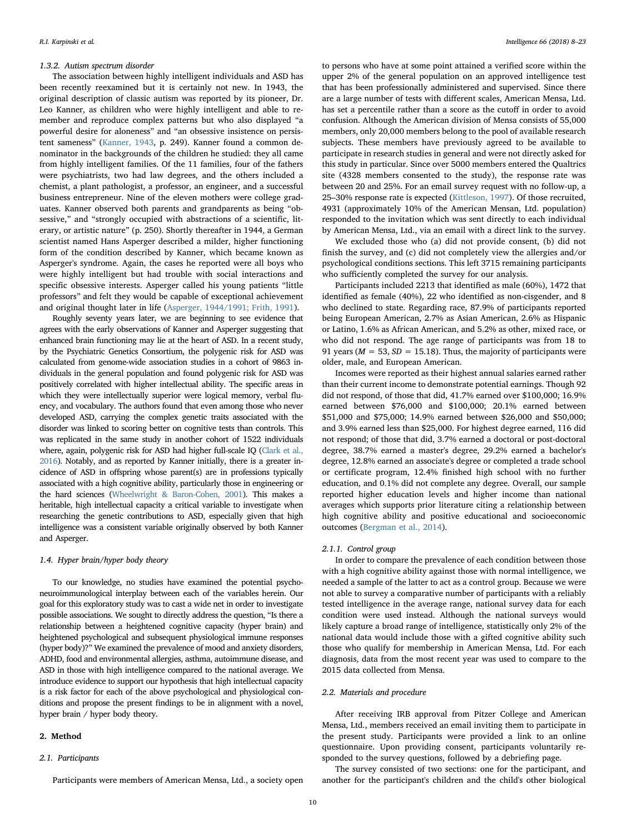#### 1.3.2. Autism spectrum disorder

The association between highly intelligent individuals and ASD has been recently reexamined but it is certainly not new. In 1943, the original description of classic autism was reported by its pioneer, Dr. Leo Kanner, as children who were highly intelligent and able to remember and reproduce complex patterns but who also displayed "a powerful desire for aloneness" and "an obsessive insistence on persistent sameness" ([Kanner, 1943](#page-13-23), p. 249). Kanner found a common denominator in the backgrounds of the children he studied: they all came from highly intelligent families. Of the 11 families, four of the fathers were psychiatrists, two had law degrees, and the others included a chemist, a plant pathologist, a professor, an engineer, and a successful business entrepreneur. Nine of the eleven mothers were college graduates. Kanner observed both parents and grandparents as being "obsessive," and "strongly occupied with abstractions of a scientific, literary, or artistic nature" (p. 250). Shortly thereafter in 1944, a German scientist named Hans Asperger described a milder, higher functioning form of the condition described by Kanner, which became known as Asperger's syndrome. Again, the cases he reported were all boys who were highly intelligent but had trouble with social interactions and specific obsessive interests. Asperger called his young patients "little professors" and felt they would be capable of exceptional achievement and original thought later in life [\(Asperger, 1944/1991; Frith, 1991\)](#page-12-5).

Roughly seventy years later, we are beginning to see evidence that agrees with the early observations of Kanner and Asperger suggesting that enhanced brain functioning may lie at the heart of ASD. In a recent study, by the Psychiatric Genetics Consortium, the polygenic risk for ASD was calculated from genome-wide association studies in a cohort of 9863 individuals in the general population and found polygenic risk for ASD was positively correlated with higher intellectual ability. The specific areas in which they were intellectually superior were logical memory, verbal fluency, and vocabulary. The authors found that even among those who never developed ASD, carrying the complex genetic traits associated with the disorder was linked to scoring better on cognitive tests than controls. This was replicated in the same study in another cohort of 1522 individuals where, again, polygenic risk for ASD had higher full-scale IQ [\(Clark et al.,](#page-13-5) [2016\)](#page-13-5). Notably, and as reported by Kanner initially, there is a greater incidence of ASD in offspring whose parent(s) are in professions typically associated with a high cognitive ability, particularly those in engineering or the hard sciences ([Wheelwright & Baron-Cohen, 2001\)](#page-15-6). This makes a heritable, high intellectual capacity a critical variable to investigate when researching the genetic contributions to ASD, especially given that high intelligence was a consistent variable originally observed by both Kanner and Asperger.

#### 1.4. Hyper brain/hyper body theory

To our knowledge, no studies have examined the potential psychoneuroimmunological interplay between each of the variables herein. Our goal for this exploratory study was to cast a wide net in order to investigate possible associations. We sought to directly address the question, "Is there a relationship between a heightened cognitive capacity (hyper brain) and heightened psychological and subsequent physiological immune responses (hyper body)?" We examined the prevalence of mood and anxiety disorders, ADHD, food and environmental allergies, asthma, autoimmune disease, and ASD in those with high intelligence compared to the national average. We introduce evidence to support our hypothesis that high intellectual capacity is a risk factor for each of the above psychological and physiological conditions and propose the present findings to be in alignment with a novel, hyper brain / hyper body theory.

#### 2. Method

#### 2.1. Participants

Participants were members of American Mensa, Ltd., a society open

to persons who have at some point attained a verified score within the upper 2% of the general population on an approved intelligence test that has been professionally administered and supervised. Since there are a large number of tests with different scales, American Mensa, Ltd. has set a percentile rather than a score as the cutoff in order to avoid confusion. Although the American division of Mensa consists of 55,000 members, only 20,000 members belong to the pool of available research subjects. These members have previously agreed to be available to participate in research studies in general and were not directly asked for this study in particular. Since over 5000 members entered the Qualtrics site (4328 members consented to the study), the response rate was between 20 and 25%. For an email survey request with no follow-up, a 25–30% response rate is expected ([Kittleson, 1997](#page-13-24)). Of those recruited, 4931 (approximately 10% of the American Mensan, Ltd. population) responded to the invitation which was sent directly to each individual by American Mensa, Ltd., via an email with a direct link to the survey.

We excluded those who (a) did not provide consent, (b) did not finish the survey, and (c) did not completely view the allergies and/or psychological conditions sections. This left 3715 remaining participants who sufficiently completed the survey for our analysis.

Participants included 2213 that identified as male (60%), 1472 that identified as female (40%), 22 who identified as non-cisgender, and 8 who declined to state. Regarding race, 87.9% of participants reported being European American, 2.7% as Asian American, 2.6% as Hispanic or Latino, 1.6% as African American, and 5.2% as other, mixed race, or who did not respond. The age range of participants was from 18 to 91 years ( $M = 53$ ,  $SD = 15.18$ ). Thus, the majority of participants were older, male, and European American.

Incomes were reported as their highest annual salaries earned rather than their current income to demonstrate potential earnings. Though 92 did not respond, of those that did, 41.7% earned over \$100,000; 16.9% earned between \$76,000 and \$100,000; 20.1% earned between \$51,000 and \$75,000; 14.9% earned between \$26,000 and \$50,000; and 3.9% earned less than \$25,000. For highest degree earned, 116 did not respond; of those that did, 3.7% earned a doctoral or post-doctoral degree, 38.7% earned a master's degree, 29.2% earned a bachelor's degree, 12.8% earned an associate's degree or completed a trade school or certificate program, 12.4% finished high school with no further education, and 0.1% did not complete any degree. Overall, our sample reported higher education levels and higher income than national averages which supports prior literature citing a relationship between high cognitive ability and positive educational and socioeconomic outcomes ([Bergman et al., 2014\)](#page-12-0).

# 2.1.1. Control group

In order to compare the prevalence of each condition between those with a high cognitive ability against those with normal intelligence, we needed a sample of the latter to act as a control group. Because we were not able to survey a comparative number of participants with a reliably tested intelligence in the average range, national survey data for each condition were used instead. Although the national surveys would likely capture a broad range of intelligence, statistically only 2% of the national data would include those with a gifted cognitive ability such those who qualify for membership in American Mensa, Ltd. For each diagnosis, data from the most recent year was used to compare to the 2015 data collected from Mensa.

# 2.2. Materials and procedure

After receiving IRB approval from Pitzer College and American Mensa, Ltd., members received an email inviting them to participate in the present study. Participants were provided a link to an online questionnaire. Upon providing consent, participants voluntarily responded to the survey questions, followed by a debriefing page.

The survey consisted of two sections: one for the participant, and another for the participant's children and the child's other biological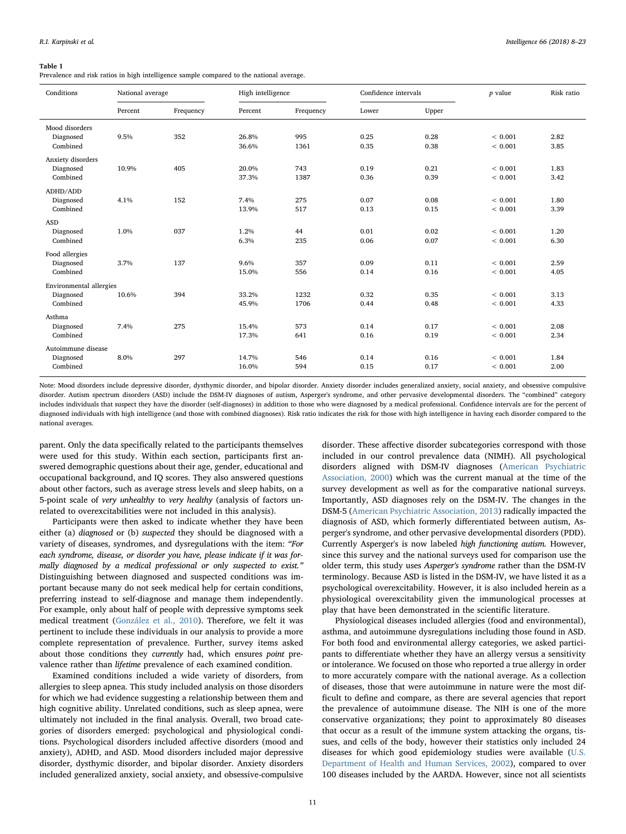#### <span id="page-3-0"></span>Table 1

Prevalence and risk ratios in high intelligence sample compared to the national average.

| Conditions                                       | National average |           | High intelligence |              | Confidence intervals |              | p value                    | Risk ratio   |
|--------------------------------------------------|------------------|-----------|-------------------|--------------|----------------------|--------------|----------------------------|--------------|
|                                                  | Percent          | Frequency | Percent           | Frequency    | Lower                | Upper        |                            |              |
| Mood disorders<br>Diagnosed<br>Combined          | 9.5%             | 352       | 26.8%<br>36.6%    | 995<br>1361  | 0.25<br>0.35         | 0.28<br>0.38 | ${}< 0.001$<br>${}< 0.001$ | 2.82<br>3.85 |
| Anxiety disorders<br>Diagnosed<br>Combined       | 10.9%            | 405       | 20.0%<br>37.3%    | 743<br>1387  | 0.19<br>0.36         | 0.21<br>0.39 | ${}< 0.001$<br>${}< 0.001$ | 1.83<br>3.42 |
| ADHD/ADD<br>Diagnosed<br>Combined                | 4.1%             | 152       | 7.4%<br>13.9%     | 275<br>517   | 0.07<br>0.13         | 0.08<br>0.15 | ${}< 0.001$<br>${}< 0.001$ | 1.80<br>3.39 |
| <b>ASD</b><br>Diagnosed<br>Combined              | 1.0%             | 037       | 1.2%<br>6.3%      | 44<br>235    | 0.01<br>0.06         | 0.02<br>0.07 | ${}< 0.001$<br>${}< 0.001$ | 1.20<br>6.30 |
| Food allergies<br>Diagnosed<br>Combined          | 3.7%             | 137       | 9.6%<br>15.0%     | 357<br>556   | 0.09<br>0.14         | 0.11<br>0.16 | ${}< 0.001$<br>${}< 0.001$ | 2.59<br>4.05 |
| Environmental allergies<br>Diagnosed<br>Combined | 10.6%            | 394       | 33.2%<br>45.9%    | 1232<br>1706 | 0.32<br>0.44         | 0.35<br>0.48 | ${}< 0.001$<br>${}< 0.001$ | 3.13<br>4.33 |
| Asthma<br>Diagnosed<br>Combined                  | 7.4%             | 275       | 15.4%<br>17.3%    | 573<br>641   | 0.14<br>0.16         | 0.17<br>0.19 | ${}< 0.001$<br>${}< 0.001$ | 2.08<br>2.34 |
| Autoimmune disease<br>Diagnosed<br>Combined      | 8.0%             | 297       | 14.7%<br>16.0%    | 546<br>594   | 0.14<br>0.15         | 0.16<br>0.17 | ${}< 0.001$<br>${}< 0.001$ | 1.84<br>2.00 |

Note: Mood disorders include depressive disorder, dysthymic disorder, and bipolar disorder. Anxiety disorder includes generalized anxiety, social anxiety, and obsessive compulsive disorder. Autism spectrum disorders (ASD) include the DSM-IV diagnoses of autism, Asperger's syndrome, and other pervasive developmental disorders. The "combined" category includes individuals that suspect they have the disorder (self-diagnoses) in addition to those who were diagnosed by a medical professional. Confidence intervals are for the percent of diagnosed individuals with high intelligence (and those with combined diagnoses). Risk ratio indicates the risk for those with high intelligence in having each disorder compared to the national averages.

parent. Only the data specifically related to the participants themselves were used for this study. Within each section, participants first answered demographic questions about their age, gender, educational and occupational background, and IQ scores. They also answered questions about other factors, such as average stress levels and sleep habits, on a 5-point scale of very unhealthy to very healthy (analysis of factors unrelated to overexcitabilities were not included in this analysis).

Participants were then asked to indicate whether they have been either (a) diagnosed or (b) suspected they should be diagnosed with a variety of diseases, syndromes, and dysregulations with the item: "For each syndrome, disease, or disorder you have, please indicate if it was formally diagnosed by a medical professional or only suspected to exist." Distinguishing between diagnosed and suspected conditions was important because many do not seek medical help for certain conditions, preferring instead to self-diagnose and manage them independently. For example, only about half of people with depressive symptoms seek medical treatment [\(González et al., 2010](#page-13-25)). Therefore, we felt it was pertinent to include these individuals in our analysis to provide a more complete representation of prevalence. Further, survey items asked about those conditions they currently had, which ensures point prevalence rather than lifetime prevalence of each examined condition.

Examined conditions included a wide variety of disorders, from allergies to sleep apnea. This study included analysis on those disorders for which we had evidence suggesting a relationship between them and high cognitive ability. Unrelated conditions, such as sleep apnea, were ultimately not included in the final analysis. Overall, two broad categories of disorders emerged: psychological and physiological conditions. Psychological disorders included affective disorders (mood and anxiety), ADHD, and ASD. Mood disorders included major depressive disorder, dysthymic disorder, and bipolar disorder. Anxiety disorders included generalized anxiety, social anxiety, and obsessive-compulsive

disorder. These affective disorder subcategories correspond with those included in our control prevalence data (NIMH). All psychological disorders aligned with DSM-IV diagnoses [\(American Psychiatric](#page-12-6) [Association, 2000](#page-12-6)) which was the current manual at the time of the survey development as well as for the comparative national surveys. Importantly, ASD diagnoses rely on the DSM-IV. The changes in the DSM-5 [\(American Psychiatric Association, 2013](#page-12-3)) radically impacted the diagnosis of ASD, which formerly differentiated between autism, Asperger's syndrome, and other pervasive developmental disorders (PDD). Currently Asperger's is now labeled high functioning autism. However, since this survey and the national surveys used for comparison use the older term, this study uses Asperger's syndrome rather than the DSM-IV terminology. Because ASD is listed in the DSM-IV, we have listed it as a psychological overexcitability. However, it is also included herein as a physiological overexcitability given the immunological processes at play that have been demonstrated in the scientific literature.

Physiological diseases included allergies (food and environmental), asthma, and autoimmune dysregulations including those found in ASD. For both food and environmental allergy categories, we asked participants to differentiate whether they have an allergy versus a sensitivity or intolerance. We focused on those who reported a true allergy in order to more accurately compare with the national average. As a collection of diseases, those that were autoimmune in nature were the most difficult to define and compare, as there are several agencies that report the prevalence of autoimmune disease. The NIH is one of the more conservative organizations; they point to approximately 80 diseases that occur as a result of the immune system attacking the organs, tissues, and cells of the body, however their statistics only included 24 diseases for which good epidemiology studies were available [\(U.S.](#page-15-7) [Department of Health and Human Services, 2002](#page-15-7)), compared to over 100 diseases included by the AARDA. However, since not all scientists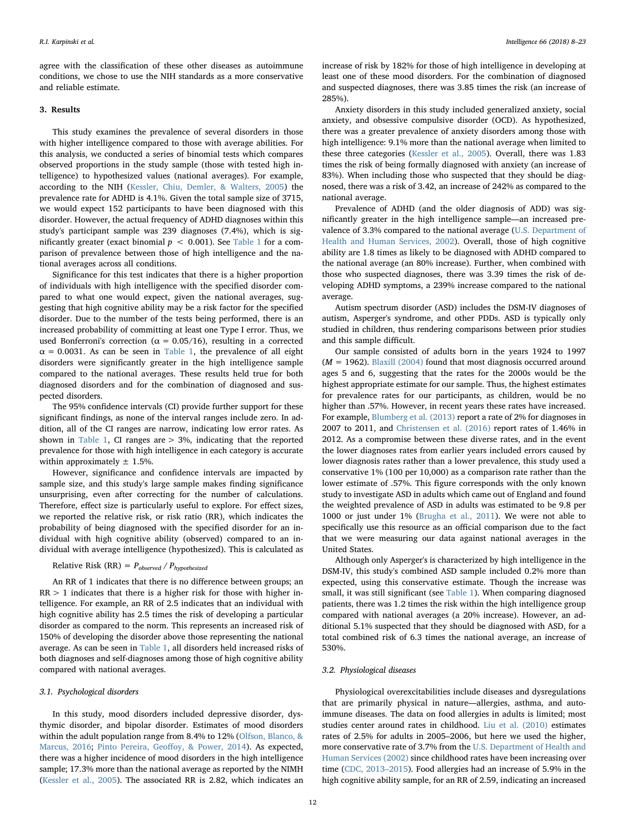agree with the classification of these other diseases as autoimmune conditions, we chose to use the NIH standards as a more conservative and reliable estimate.

#### 3. Results

This study examines the prevalence of several disorders in those with higher intelligence compared to those with average abilities. For this analysis, we conducted a series of binomial tests which compares observed proportions in the study sample (those with tested high intelligence) to hypothesized values (national averages). For example, according to the NIH ([Kessler, Chiu, Demler, & Walters, 2005](#page-13-26)) the prevalence rate for ADHD is 4.1%. Given the total sample size of 3715, we would expect 152 participants to have been diagnosed with this disorder. However, the actual frequency of ADHD diagnoses within this study's participant sample was 239 diagnoses (7.4%), which is significantly greater (exact binomial  $p < 0.001$ ). See [Table 1](#page-3-0) for a comparison of prevalence between those of high intelligence and the national averages across all conditions.

Significance for this test indicates that there is a higher proportion of individuals with high intelligence with the specified disorder compared to what one would expect, given the national averages, suggesting that high cognitive ability may be a risk factor for the specified disorder. Due to the number of the tests being performed, there is an increased probability of committing at least one Type I error. Thus, we used Bonferroni's correction ( $\alpha = 0.05/16$ ), resulting in a corrected  $\alpha$  = 0.0031. As can be seen in [Table 1](#page-3-0), the prevalence of all eight disorders were significantly greater in the high intelligence sample compared to the national averages. These results held true for both diagnosed disorders and for the combination of diagnosed and suspected disorders.

The 95% confidence intervals (CI) provide further support for these significant findings, as none of the interval ranges include zero. In addition, all of the CI ranges are narrow, indicating low error rates. As shown in [Table 1,](#page-3-0) CI ranges are  $> 3\%$ , indicating that the reported prevalence for those with high intelligence in each category is accurate within approximately  $\pm$  1.5%.

However, significance and confidence intervals are impacted by sample size, and this study's large sample makes finding significance unsurprising, even after correcting for the number of calculations. Therefore, effect size is particularly useful to explore. For effect sizes, we reported the relative risk, or risk ratio (RR), which indicates the probability of being diagnosed with the specified disorder for an individual with high cognitive ability (observed) compared to an individual with average intelligence (hypothesized). This is calculated as

# Relative Risk (RR) =  $P_{observed} / P_{hypothesized}$

An RR of 1 indicates that there is no difference between groups; an  $RR > 1$  indicates that there is a higher risk for those with higher intelligence. For example, an RR of 2.5 indicates that an individual with high cognitive ability has 2.5 times the risk of developing a particular disorder as compared to the norm. This represents an increased risk of 150% of developing the disorder above those representing the national average. As can be seen in [Table 1](#page-3-0), all disorders held increased risks of both diagnoses and self-diagnoses among those of high cognitive ability compared with national averages.

# 3.1. Psychological disorders

In this study, mood disorders included depressive disorder, dysthymic disorder, and bipolar disorder. Estimates of mood disorders within the adult population range from 8.4% to 12% ([Olfson, Blanco, &](#page-14-21) [Marcus, 2016;](#page-14-21) Pinto Pereira, Geoff[oy, & Power, 2014](#page-14-22)). As expected, there was a higher incidence of mood disorders in the high intelligence sample; 17.3% more than the national average as reported by the NIMH ([Kessler et al., 2005](#page-13-26)). The associated RR is 2.82, which indicates an

increase of risk by 182% for those of high intelligence in developing at least one of these mood disorders. For the combination of diagnosed and suspected diagnoses, there was 3.85 times the risk (an increase of 285%).

Anxiety disorders in this study included generalized anxiety, social anxiety, and obsessive compulsive disorder (OCD). As hypothesized, there was a greater prevalence of anxiety disorders among those with high intelligence: 9.1% more than the national average when limited to these three categories [\(Kessler et al., 2005\)](#page-13-26). Overall, there was 1.83 times the risk of being formally diagnosed with anxiety (an increase of 83%). When including those who suspected that they should be diagnosed, there was a risk of 3.42, an increase of 242% as compared to the national average.

Prevalence of ADHD (and the older diagnosis of ADD) was significantly greater in the high intelligence sample—an increased prevalence of 3.3% compared to the national average ([U.S. Department of](#page-15-7) [Health and Human Services, 2002](#page-15-7)). Overall, those of high cognitive ability are 1.8 times as likely to be diagnosed with ADHD compared to the national average (an 80% increase). Further, when combined with those who suspected diagnoses, there was 3.39 times the risk of developing ADHD symptoms, a 239% increase compared to the national average.

Autism spectrum disorder (ASD) includes the DSM-IV diagnoses of autism, Asperger's syndrome, and other PDDs. ASD is typically only studied in children, thus rendering comparisons between prior studies and this sample difficult.

Our sample consisted of adults born in the years 1924 to 1997  $(M = 1962)$ . [Blaxill \(2004\)](#page-12-7) found that most diagnosis occurred around ages 5 and 6, suggesting that the rates for the 2000s would be the highest appropriate estimate for our sample. Thus, the highest estimates for prevalence rates for our participants, as children, would be no higher than .57%. However, in recent years these rates have increased. For example, [Blumberg et al. \(2013\)](#page-12-8) report a rate of 2% for diagnoses in 2007 to 2011, and [Christensen et al. \(2016\)](#page-13-27) report rates of 1.46% in 2012. As a compromise between these diverse rates, and in the event the lower diagnoses rates from earlier years included errors caused by lower diagnosis rates rather than a lower prevalence, this study used a conservative 1% (100 per 10,000) as a comparison rate rather than the lower estimate of .57%. This figure corresponds with the only known study to investigate ASD in adults which came out of England and found the weighted prevalence of ASD in adults was estimated to be 9.8 per 1000 or just under 1% ([Brugha et al., 2011](#page-12-9)). We were not able to specifically use this resource as an official comparison due to the fact that we were measuring our data against national averages in the United States.

Although only Asperger's is characterized by high intelligence in the DSM-IV, this study's combined ASD sample included 0.2% more than expected, using this conservative estimate. Though the increase was small, it was still significant (see [Table 1](#page-3-0)). When comparing diagnosed patients, there was 1.2 times the risk within the high intelligence group compared with national averages (a 20% increase). However, an additional 5.1% suspected that they should be diagnosed with ASD, for a total combined risk of 6.3 times the national average, an increase of 530%.

# 3.2. Physiological diseases

Physiological overexcitabilities include diseases and dysregulations that are primarily physical in nature—allergies, asthma, and autoimmune diseases. The data on food allergies in adults is limited; most studies center around rates in childhood. [Liu et al. \(2010\)](#page-14-23) estimates rates of 2.5% for adults in 2005–2006, but here we used the higher, more conservative rate of 3.7% from the [U.S. Department of Health and](#page-15-7) [Human Services \(2002\)](#page-15-7) since childhood rates have been increasing over time [\(CDC, 2013](#page-12-10)–2015). Food allergies had an increase of 5.9% in the high cognitive ability sample, for an RR of 2.59, indicating an increased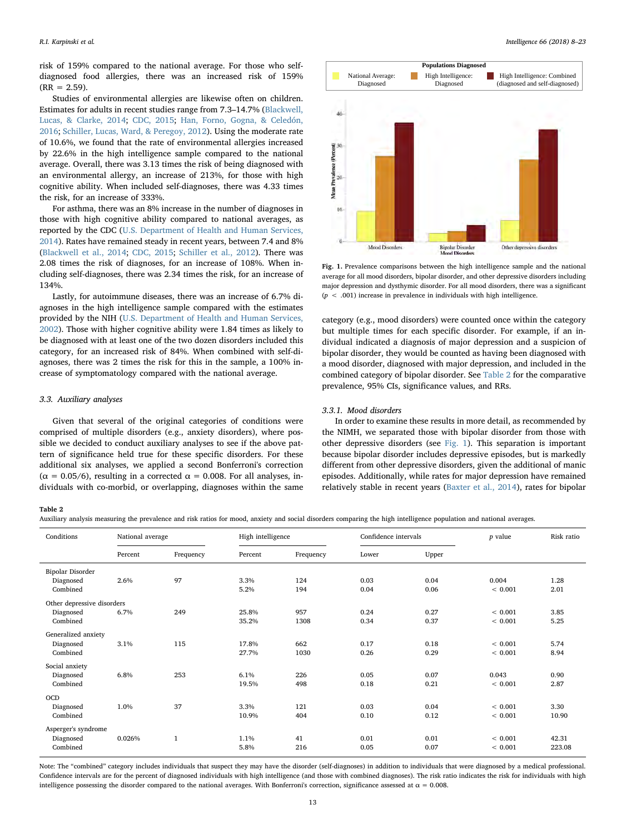risk of 159% compared to the national average. For those who selfdiagnosed food allergies, there was an increased risk of 159%  $(RR = 2.59)$ .

Studies of environmental allergies are likewise often on children. Estimates for adults in recent studies range from 7.3–14.7% [\(Blackwell,](#page-12-11) [Lucas, & Clarke, 2014;](#page-12-11) [CDC, 2015;](#page-13-28) [Han, Forno, Gogna, & Celedón,](#page-13-29) [2016;](#page-13-29) [Schiller, Lucas, Ward, & Peregoy, 2012\)](#page-14-24). Using the moderate rate of 10.6%, we found that the rate of environmental allergies increased by 22.6% in the high intelligence sample compared to the national average. Overall, there was 3.13 times the risk of being diagnosed with an environmental allergy, an increase of 213%, for those with high cognitive ability. When included self-diagnoses, there was 4.33 times the risk, for an increase of 333%.

For asthma, there was an 8% increase in the number of diagnoses in those with high cognitive ability compared to national averages, as reported by the CDC ([U.S. Department of Health and Human Services,](#page-15-8) [2014\)](#page-15-8). Rates have remained steady in recent years, between 7.4 and 8% ([Blackwell et al., 2014](#page-12-11); [CDC, 2015](#page-13-28); [Schiller et al., 2012\)](#page-14-24). There was 2.08 times the risk of diagnoses, for an increase of 108%. When including self-diagnoses, there was 2.34 times the risk, for an increase of 134%.

Lastly, for autoimmune diseases, there was an increase of 6.7% diagnoses in the high intelligence sample compared with the estimates provided by the NIH ([U.S. Department of Health and Human Services,](#page-15-7) [2002\)](#page-15-7). Those with higher cognitive ability were 1.84 times as likely to be diagnosed with at least one of the two dozen disorders included this category, for an increased risk of 84%. When combined with self-diagnoses, there was 2 times the risk for this in the sample, a 100% increase of symptomatology compared with the national average.

#### 3.3. Auxiliary analyses

Given that several of the original categories of conditions were comprised of multiple disorders (e.g., anxiety disorders), where possible we decided to conduct auxiliary analyses to see if the above pattern of significance held true for these specific disorders. For these additional six analyses, we applied a second Bonferroni's correction ( $\alpha = 0.05/6$ ), resulting in a corrected  $\alpha = 0.008$ . For all analyses, individuals with co-morbid, or overlapping, diagnoses within the same

<span id="page-5-1"></span>

Fig. 1. Prevalence comparisons between the high intelligence sample and the national average for all mood disorders, bipolar disorder, and other depressive disorders including major depression and dysthymic disorder. For all mood disorders, there was a significant  $(p < .001)$  increase in prevalence in individuals with high intelligence.

category (e.g., mood disorders) were counted once within the category but multiple times for each specific disorder. For example, if an individual indicated a diagnosis of major depression and a suspicion of bipolar disorder, they would be counted as having been diagnosed with a mood disorder, diagnosed with major depression, and included in the combined category of bipolar disorder. See [Table 2](#page-5-0) for the comparative prevalence, 95% CIs, significance values, and RRs.

# 3.3.1. Mood disorders

In order to examine these results in more detail, as recommended by the NIMH, we separated those with bipolar disorder from those with other depressive disorders (see [Fig. 1\)](#page-5-1). This separation is important because bipolar disorder includes depressive episodes, but is markedly different from other depressive disorders, given the additional of manic episodes. Additionally, while rates for major depression have remained relatively stable in recent years ([Baxter et al., 2014\)](#page-12-12), rates for bipolar

#### <span id="page-5-0"></span>Table 2

Auxiliary analysis measuring the prevalence and risk ratios for mood, anxiety and social disorders comparing the high intelligence population and national averages.

| Conditions                                          | National average |              | High intelligence |             | Confidence intervals |              | <i>p</i> value             | Risk ratio      |
|-----------------------------------------------------|------------------|--------------|-------------------|-------------|----------------------|--------------|----------------------------|-----------------|
|                                                     | Percent          | Frequency    | Percent           | Frequency   | Lower                | Upper        |                            |                 |
| Bipolar Disorder<br>Diagnosed<br>Combined           | 2.6%             | 97           | 3.3%<br>5.2%      | 124<br>194  | 0.03<br>0.04         | 0.04<br>0.06 | 0.004<br>< 0.001           | 1.28<br>2.01    |
| Other depressive disorders<br>Diagnosed<br>Combined | 6.7%             | 249          | 25.8%<br>35.2%    | 957<br>1308 | 0.24<br>0.34         | 0.27<br>0.37 | < 0.001<br>< 0.001         | 3.85<br>5.25    |
| Generalized anxiety<br>Diagnosed<br>Combined        | 3.1%             | 115          | 17.8%<br>27.7%    | 662<br>1030 | 0.17<br>0.26         | 0.18<br>0.29 | < 0.001<br>< 0.001         | 5.74<br>8.94    |
| Social anxiety<br>Diagnosed<br>Combined             | 6.8%             | 253          | 6.1%<br>19.5%     | 226<br>498  | 0.05<br>0.18         | 0.07<br>0.21 | 0.043<br>< 0.001           | 0.90<br>2.87    |
| OCD<br>Diagnosed<br>Combined                        | 1.0%             | 37           | 3.3%<br>10.9%     | 121<br>404  | 0.03<br>0.10         | 0.04<br>0.12 | < 0.001<br>< 0.001         | 3.30<br>10.90   |
| Asperger's syndrome<br>Diagnosed<br>Combined        | 0.026%           | $\mathbf{1}$ | 1.1%<br>5.8%      | 41<br>216   | 0.01<br>0.05         | 0.01<br>0.07 | ${}< 0.001$<br>${}< 0.001$ | 42.31<br>223.08 |

Note: The "combined" category includes individuals that suspect they may have the disorder (self-diagnoses) in addition to individuals that were diagnosed by a medical professional. Confidence intervals are for the percent of diagnosed individuals with high intelligence (and those with combined diagnoses). The risk ratio indicates the risk for individuals with high intelligence possessing the disorder compared to the national averages. With Bonferroni's correction, significance assessed at  $\alpha = 0.008$ .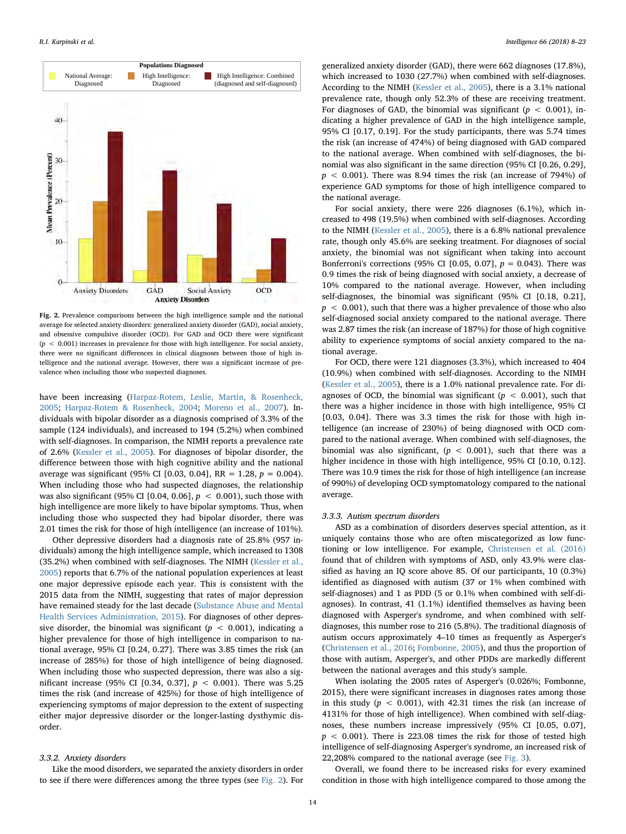<span id="page-6-0"></span>

Fig. 2. Prevalence comparisons between the high intelligence sample and the national average for selected anxiety disorders: generalized anxiety disorder (GAD), social anxiety, and obsessive compulsive disorder (OCD). For GAD and OCD there were significant  $(p < 0.001)$  increases in prevalence for those with high intelligence. For social anxiety, there were no significant differences in clinical diagnoses between those of high intelligence and the national average. However, there was a significant increase of prevalence when including those who suspected diagnoses.

have been increasing ([Harpaz-Rotem, Leslie, Martin, & Rosenheck,](#page-13-30) [2005;](#page-13-30) [Harpaz-Rotem & Rosenheck, 2004](#page-13-31); [Moreno et al., 2007\)](#page-14-25). Individuals with bipolar disorder as a diagnosis comprised of 3.3% of the sample (124 individuals), and increased to 194 (5.2%) when combined with self-diagnoses. In comparison, the NIMH reports a prevalence rate of 2.6% [\(Kessler et al., 2005\)](#page-13-26). For diagnoses of bipolar disorder, the difference between those with high cognitive ability and the national average was significant (95% CI [0.03, 0.04], RR = 1.28,  $p = 0.004$ ). When including those who had suspected diagnoses, the relationship was also significant (95% CI [0.04, 0.06],  $p < 0.001$ ), such those with high intelligence are more likely to have bipolar symptoms. Thus, when including those who suspected they had bipolar disorder, there was 2.01 times the risk for those of high intelligence (an increase of 101%).

Other depressive disorders had a diagnosis rate of 25.8% (957 individuals) among the high intelligence sample, which increased to 1308 (35.2%) when combined with self-diagnoses. The NIMH ([Kessler et al.,](#page-13-26) [2005\)](#page-13-26) reports that 6.7% of the national population experiences at least one major depressive episode each year. This is consistent with the 2015 data from the NIMH, suggesting that rates of major depression have remained steady for the last decade [\(Substance Abuse and Mental](#page-15-9) [Health Services Administration, 2015\)](#page-15-9). For diagnoses of other depressive disorder, the binomial was significant ( $p < 0.001$ ), indicating a higher prevalence for those of high intelligence in comparison to national average, 95% CI [0.24, 0.27]. There was 3.85 times the risk (an increase of 285%) for those of high intelligence of being diagnosed. When including those who suspected depression, there was also a significant increase (95% CI [0.34, 0.37],  $p < 0.001$ ). There was 5.25 times the risk (and increase of 425%) for those of high intelligence of experiencing symptoms of major depression to the extent of suspecting either major depressive disorder or the longer-lasting dysthymic disorder.

#### 3.3.2. Anxiety disorders

Like the mood disorders, we separated the anxiety disorders in order to see if there were differences among the three types (see [Fig. 2](#page-6-0)). For generalized anxiety disorder (GAD), there were 662 diagnoses (17.8%), which increased to 1030 (27.7%) when combined with self-diagnoses. According to the NIMH ([Kessler et al., 2005](#page-13-26)), there is a 3.1% national prevalence rate, though only 52.3% of these are receiving treatment. For diagnoses of GAD, the binomial was significant ( $p < 0.001$ ), indicating a higher prevalence of GAD in the high intelligence sample, 95% CI [0.17, 0.19]. For the study participants, there was 5.74 times the risk (an increase of 474%) of being diagnosed with GAD compared to the national average. When combined with self-diagnoses, the binomial was also significant in the same direction (95% CI [0.26, 0.29],  $p < 0.001$ ). There was 8.94 times the risk (an increase of 794%) of experience GAD symptoms for those of high intelligence compared to the national average.

For social anxiety, there were 226 diagnoses (6.1%), which increased to 498 (19.5%) when combined with self-diagnoses. According to the NIMH ([Kessler et al., 2005](#page-13-26)), there is a 6.8% national prevalence rate, though only 45.6% are seeking treatment. For diagnoses of social anxiety, the binomial was not significant when taking into account Bonferroni's corrections (95% CI [0.05, 0.07],  $p = 0.043$ ). There was 0.9 times the risk of being diagnosed with social anxiety, a decrease of 10% compared to the national average. However, when including self-diagnoses, the binomial was significant (95% CI [0.18, 0.21],  $p < 0.001$ ), such that there was a higher prevalence of those who also self-diagnosed social anxiety compared to the national average. There was 2.87 times the risk (an increase of 187%) for those of high cognitive ability to experience symptoms of social anxiety compared to the national average.

For OCD, there were 121 diagnoses (3.3%), which increased to 404 (10.9%) when combined with self-diagnoses. According to the NIMH ([Kessler et al., 2005\)](#page-13-26), there is a 1.0% national prevalence rate. For diagnoses of OCD, the binomial was significant ( $p < 0.001$ ), such that there was a higher incidence in those with high intelligence, 95% CI [0.03, 0.04]. There was 3.3 times the risk for those with high intelligence (an increase of 230%) of being diagnosed with OCD compared to the national average. When combined with self-diagnoses, the binomial was also significant,  $(p < 0.001)$ , such that there was a higher incidence in those with high intelligence, 95% CI [0.10, 0.12]. There was 10.9 times the risk for those of high intelligence (an increase of 990%) of developing OCD symptomatology compared to the national average.

#### 3.3.3. Autism spectrum disorders

ASD as a combination of disorders deserves special attention, as it uniquely contains those who are often miscategorized as low functioning or low intelligence. For example, [Christensen et al. \(2016\)](#page-13-27) found that of children with symptoms of ASD, only 43.9% were classified as having an IQ score above 85. Of our participants, 10 (0.3%) identified as diagnosed with autism (37 or 1% when combined with self-diagnoses) and 1 as PDD (5 or 0.1% when combined with self-diagnoses). In contrast, 41 (1.1%) identified themselves as having been diagnosed with Asperger's syndrome, and when combined with selfdiagnoses, this number rose to 216 (5.8%). The traditional diagnosis of autism occurs approximately 4–10 times as frequently as Asperger's ([Christensen et al., 2016;](#page-13-27) [Fombonne, 2005](#page-13-32)), and thus the proportion of those with autism, Asperger's, and other PDDs are markedly different between the national averages and this study's sample.

When isolating the 2005 rates of Asperger's (0.026%; Fombonne, 2015), there were significant increases in diagnoses rates among those in this study ( $p < 0.001$ ), with 42.31 times the risk (an increase of 4131% for those of high intelligence). When combined with self-diagnoses, these numbers increase impressively (95% CI [0.05, 0.07],  $p < 0.001$ ). There is 223.08 times the risk for those of tested high intelligence of self-diagnosing Asperger's syndrome, an increased risk of 22,208% compared to the national average (see [Fig. 3](#page-7-0)).

Overall, we found there to be increased risks for every examined condition in those with high intelligence compared to those among the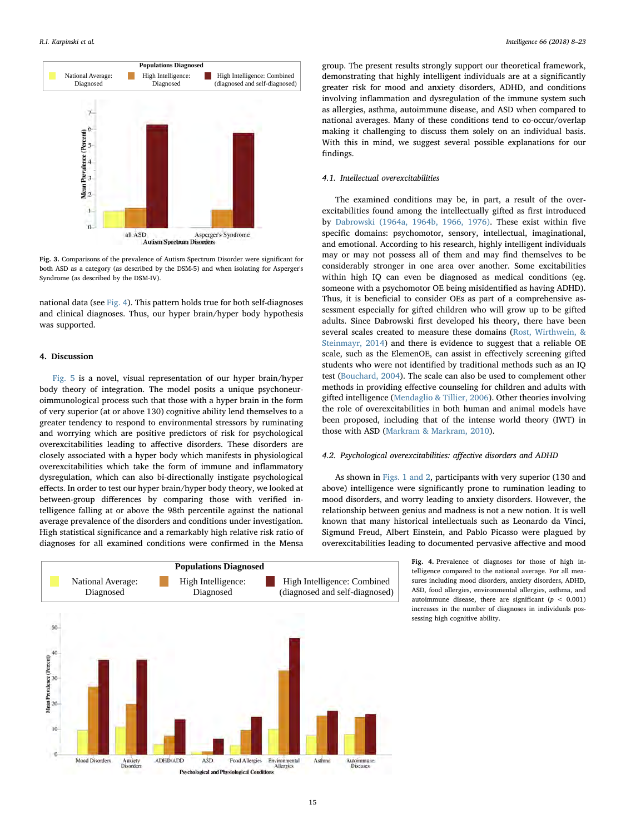<span id="page-7-0"></span>

Fig. 3. Comparisons of the prevalence of Autism Spectrum Disorder were significant for both ASD as a category (as described by the DSM-5) and when isolating for Asperger's Syndrome (as described by the DSM-IV).

national data (see [Fig. 4](#page-7-1)). This pattern holds true for both self-diagnoses and clinical diagnoses. Thus, our hyper brain/hyper body hypothesis was supported.

#### 4. Discussion

[Fig. 5](#page-8-0) is a novel, visual representation of our hyper brain/hyper body theory of integration. The model posits a unique psychoneuroimmunological process such that those with a hyper brain in the form of very superior (at or above 130) cognitive ability lend themselves to a greater tendency to respond to environmental stressors by ruminating and worrying which are positive predictors of risk for psychological overexcitabilities leading to affective disorders. These disorders are closely associated with a hyper body which manifests in physiological overexcitabilities which take the form of immune and inflammatory dysregulation, which can also bi-directionally instigate psychological effects. In order to test our hyper brain/hyper body theory, we looked at between-group differences by comparing those with verified intelligence falling at or above the 98th percentile against the national average prevalence of the disorders and conditions under investigation. High statistical significance and a remarkably high relative risk ratio of diagnoses for all examined conditions were confirmed in the Mensa

<span id="page-7-1"></span>

group. The present results strongly support our theoretical framework, demonstrating that highly intelligent individuals are at a significantly greater risk for mood and anxiety disorders, ADHD, and conditions involving inflammation and dysregulation of the immune system such as allergies, asthma, autoimmune disease, and ASD when compared to national averages. Many of these conditions tend to co-occur/overlap making it challenging to discuss them solely on an individual basis. With this in mind, we suggest several possible explanations for our findings.

# 4.1. Intellectual overexcitabilities

The examined conditions may be, in part, a result of the overexcitabilities found among the intellectually gifted as first introduced by [Dabrowski \(1964a, 1964b, 1966, 1976\)](#page-13-12). These exist within five specific domains: psychomotor, sensory, intellectual, imaginational, and emotional. According to his research, highly intelligent individuals may or may not possess all of them and may find themselves to be considerably stronger in one area over another. Some excitabilities within high IQ can even be diagnosed as medical conditions (eg. someone with a psychomotor OE being misidentified as having ADHD). Thus, it is beneficial to consider OEs as part of a comprehensive assessment especially for gifted children who will grow up to be gifted adults. Since Dabrowski first developed his theory, there have been several scales created to measure these domains [\(Rost, Wirthwein, &](#page-14-26) [Steinmayr, 2014\)](#page-14-26) and there is evidence to suggest that a reliable OE scale, such as the ElemenOE, can assist in effectively screening gifted students who were not identified by traditional methods such as an IQ test [\(Bouchard, 2004\)](#page-12-13). The scale can also be used to complement other methods in providing effective counseling for children and adults with gifted intelligence ([Mendaglio & Tillier, 2006](#page-14-27)). Other theories involving the role of overexcitabilities in both human and animal models have been proposed, including that of the intense world theory (IWT) in those with ASD (Markram & [Markram, 2010\)](#page-14-28).

# 4.2. Psychological overexcitabilities: affective disorders and ADHD

As shown in [Figs. 1 and 2,](#page-5-1) participants with very superior (130 and above) intelligence were significantly prone to rumination leading to mood disorders, and worry leading to anxiety disorders. However, the relationship between genius and madness is not a new notion. It is well known that many historical intellectuals such as Leonardo da Vinci, Sigmund Freud, Albert Einstein, and Pablo Picasso were plagued by overexcitabilities leading to documented pervasive affective and mood

> Fig. 4. Prevalence of diagnoses for those of high intelligence compared to the national average. For all measures including mood disorders, anxiety disorders, ADHD, ASD, food allergies, environmental allergies, asthma, and autoimmune disease, there are significant ( $p < 0.001$ ) increases in the number of diagnoses in individuals possessing high cognitive ability.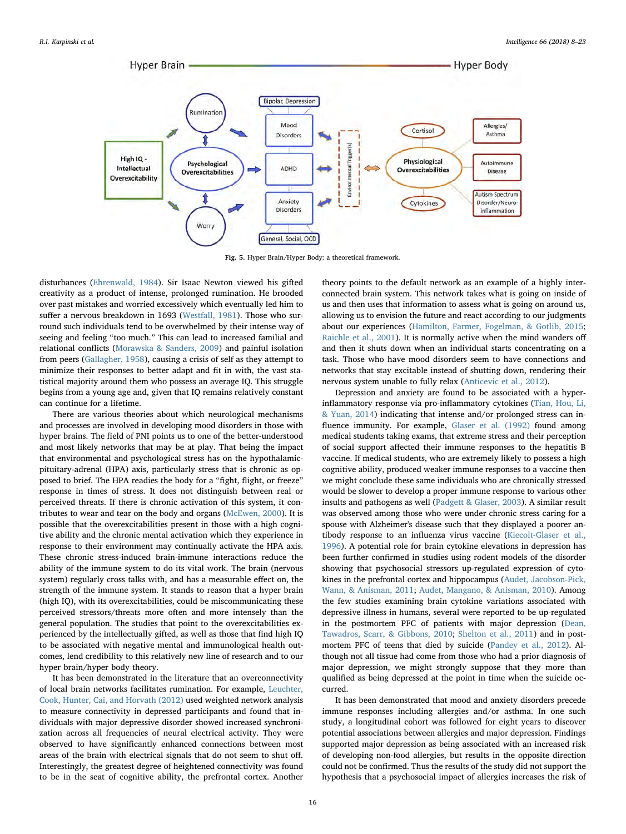<span id="page-8-0"></span>

Fig. 5. Hyper Brain/Hyper Body: a theoretical framework.

disturbances ([Ehrenwald, 1984](#page-13-33)). Sir Isaac Newton viewed his gifted creativity as a product of intense, prolonged rumination. He brooded over past mistakes and worried excessively which eventually led him to suffer a nervous breakdown in 1693 ([Westfall, 1981\)](#page-15-10). Those who surround such individuals tend to be overwhelmed by their intense way of seeing and feeling "too much." This can lead to increased familial and relational conflicts ([Morawska & Sanders, 2009](#page-14-29)) and painful isolation from peers ([Gallagher, 1958](#page-13-34)), causing a crisis of self as they attempt to minimize their responses to better adapt and fit in with, the vast statistical majority around them who possess an average IQ. This struggle begins from a young age and, given that IQ remains relatively constant can continue for a lifetime.

There are various theories about which neurological mechanisms and processes are involved in developing mood disorders in those with hyper brains. The field of PNI points us to one of the better-understood and most likely networks that may be at play. That being the impact that environmental and psychological stress has on the hypothalamicpituitary-adrenal (HPA) axis, particularly stress that is chronic as opposed to brief. The HPA readies the body for a "fight, flight, or freeze" response in times of stress. It does not distinguish between real or perceived threats. If there is chronic activation of this system, it contributes to wear and tear on the body and organs [\(McEwen, 2000\)](#page-14-30). It is possible that the overexcitabilities present in those with a high cognitive ability and the chronic mental activation which they experience in response to their environment may continually activate the HPA axis. These chronic stress-induced brain-immune interactions reduce the ability of the immune system to do its vital work. The brain (nervous system) regularly cross talks with, and has a measurable effect on, the strength of the immune system. It stands to reason that a hyper brain (high IQ), with its overexcitabilities, could be miscommunicating these perceived stressors/threats more often and more intensely than the general population. The studies that point to the overexcitabilities experienced by the intellectually gifted, as well as those that find high IQ to be associated with negative mental and immunological health outcomes, lend credibility to this relatively new line of research and to our hyper brain/hyper body theory.

It has been demonstrated in the literature that an overconnectivity of local brain networks facilitates rumination. For example, [Leuchter,](#page-14-31) [Cook, Hunter, Cai, and Horvath \(2012\)](#page-14-31) used weighted network analysis to measure connectivity in depressed participants and found that individuals with major depressive disorder showed increased synchronization across all frequencies of neural electrical activity. They were observed to have significantly enhanced connections between most areas of the brain with electrical signals that do not seem to shut off. Interestingly, the greatest degree of heightened connectivity was found to be in the seat of cognitive ability, the prefrontal cortex. Another

theory points to the default network as an example of a highly interconnected brain system. This network takes what is going on inside of us and then uses that information to assess what is going on around us, allowing us to envision the future and react according to our judgments about our experiences [\(Hamilton, Farmer, Fogelman, & Gotlib, 2015](#page-13-35); [Raichle et al., 2001](#page-14-32)). It is normally active when the mind wanders off and then it shuts down when an individual starts concentrating on a task. Those who have mood disorders seem to have connections and networks that stay excitable instead of shutting down, rendering their nervous system unable to fully relax ([Anticevic et al., 2012](#page-12-14)).

Depression and anxiety are found to be associated with a hyperinflammatory response via pro-inflammatory cytokines [\(Tian, Hou, Li,](#page-15-11) [& Yuan, 2014](#page-15-11)) indicating that intense and/or prolonged stress can influence immunity. For example, [Glaser et al. \(1992\)](#page-13-17) found among medical students taking exams, that extreme stress and their perception of social support affected their immune responses to the hepatitis B vaccine. If medical students, who are extremely likely to possess a high cognitive ability, produced weaker immune responses to a vaccine then we might conclude these same individuals who are chronically stressed would be slower to develop a proper immune response to various other insults and pathogens as well ([Padgett & Glaser, 2003](#page-14-13)). A similar result was observed among those who were under chronic stress caring for a spouse with Alzheimer's disease such that they displayed a poorer antibody response to an influenza virus vaccine ([Kiecolt-Glaser et al.,](#page-13-18) [1996\)](#page-13-18). A potential role for brain cytokine elevations in depression has been further confirmed in studies using rodent models of the disorder showing that psychosocial stressors up-regulated expression of cytokines in the prefrontal cortex and hippocampus ([Audet, Jacobson-Pick,](#page-12-15) [Wann, & Anisman, 2011](#page-12-15); [Audet, Mangano, & Anisman, 2010\)](#page-12-16). Among the few studies examining brain cytokine variations associated with depressive illness in humans, several were reported to be up-regulated in the postmortem PFC of patients with major depression [\(Dean,](#page-13-36) [Tawadros, Scarr, & Gibbons, 2010;](#page-13-36) [Shelton et al., 2011\)](#page-14-33) and in postmortem PFC of teens that died by suicide ([Pandey et al., 2012\)](#page-14-34). Although not all tissue had come from those who had a prior diagnosis of major depression, we might strongly suppose that they more than qualified as being depressed at the point in time when the suicide occurred.

It has been demonstrated that mood and anxiety disorders precede immune responses including allergies and/or asthma. In one such study, a longitudinal cohort was followed for eight years to discover potential associations between allergies and major depression. Findings supported major depression as being associated with an increased risk of developing non-food allergies, but results in the opposite direction could not be confirmed. Thus the results of the study did not support the hypothesis that a psychosocial impact of allergies increases the risk of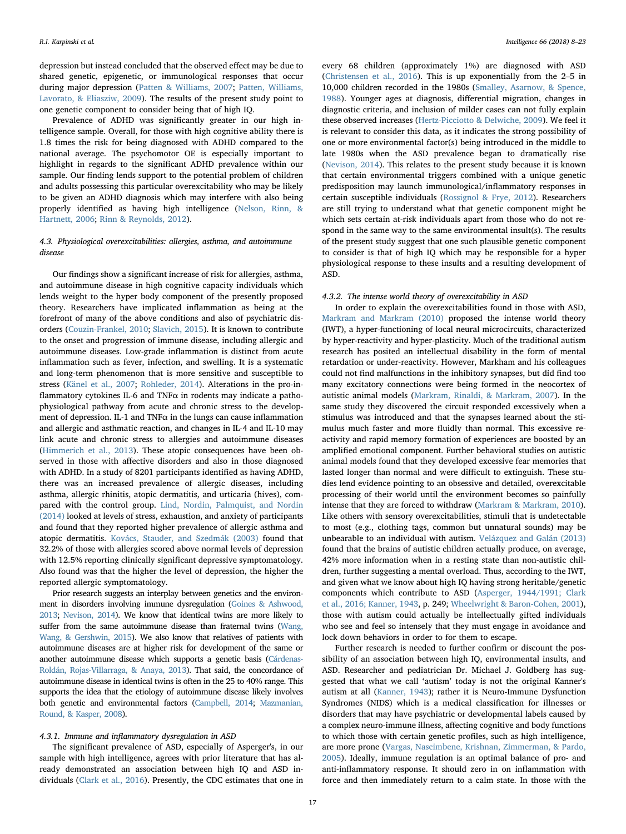depression but instead concluded that the observed effect may be due to shared genetic, epigenetic, or immunological responses that occur during major depression [\(Patten & Williams, 2007;](#page-14-35) [Patten, Williams,](#page-14-36) [Lavorato, & Eliasziw, 2009\)](#page-14-36). The results of the present study point to one genetic component to consider being that of high IQ.

Prevalence of ADHD was significantly greater in our high intelligence sample. Overall, for those with high cognitive ability there is 1.8 times the risk for being diagnosed with ADHD compared to the national average. The psychomotor OE is especially important to highlight in regards to the significant ADHD prevalence within our sample. Our finding lends support to the potential problem of children and adults possessing this particular overexcitability who may be likely to be given an ADHD diagnosis which may interfere with also being properly identified as having high intelligence ([Nelson, Rinn, &](#page-14-37) [Hartnett, 2006](#page-14-37); [Rinn & Reynolds, 2012\)](#page-14-38).

# 4.3. Physiological overexcitabilities: allergies, asthma, and autoimmune disease

Our findings show a significant increase of risk for allergies, asthma, and autoimmune disease in high cognitive capacity individuals which lends weight to the hyper body component of the presently proposed theory. Researchers have implicated inflammation as being at the forefront of many of the above conditions and also of psychiatric disorders [\(Couzin-Frankel, 2010](#page-13-37); [Slavich, 2015\)](#page-15-12). It is known to contribute to the onset and progression of immune disease, including allergic and autoimmune diseases. Low-grade inflammation is distinct from acute inflammation such as fever, infection, and swelling. It is a systematic and long-term phenomenon that is more sensitive and susceptible to stress [\(Känel et al., 2007;](#page-13-38) [Rohleder, 2014](#page-14-39)). Alterations in the pro-inflammatory cytokines IL-6 and TNF $\alpha$  in rodents may indicate a pathophysiological pathway from acute and chronic stress to the development of depression. IL-1 and TNF $\alpha$  in the lungs can cause inflammation and allergic and asthmatic reaction, and changes in IL-4 and IL-10 may link acute and chronic stress to allergies and autoimmune diseases ([Himmerich et al., 2013\)](#page-13-39). These atopic consequences have been observed in those with affective disorders and also in those diagnosed with ADHD. In a study of 8201 participants identified as having ADHD, there was an increased prevalence of allergic diseases, including asthma, allergic rhinitis, atopic dermatitis, and urticaria (hives), compared with the control group. [Lind, Nordin, Palmquist, and Nordin](#page-14-40) [\(2014\)](#page-14-40) looked at levels of stress, exhaustion, and anxiety of participants and found that they reported higher prevalence of allergic asthma and atopic dermatitis. [Kovács, Stauder, and Szedmák \(2003\)](#page-14-41) found that 32.2% of those with allergies scored above normal levels of depression with 12.5% reporting clinically significant depressive symptomatology. Also found was that the higher the level of depression, the higher the reported allergic symptomatology.

Prior research suggests an interplay between genetics and the environment in disorders involving immune dysregulation [\(Goines & Ashwood,](#page-13-40) [2013;](#page-13-40) [Nevison, 2014\)](#page-14-42). We know that identical twins are more likely to suffer from the same autoimmune disease than fraternal twins [\(Wang,](#page-15-13) [Wang, & Gershwin, 2015](#page-15-13)). We also know that relatives of patients with autoimmune diseases are at higher risk for development of the same or another autoimmune disease which supports a genetic basis ([Cárdenas-](#page-12-17)[Roldán, Rojas-Villarraga, & Anaya, 2013](#page-12-17)). That said, the concordance of autoimmune disease in identical twins is often in the 25 to 40% range. This supports the idea that the etiology of autoimmune disease likely involves both genetic and environmental factors ([Campbell, 2014;](#page-12-18) [Mazmanian,](#page-14-43) [Round, & Kasper, 2008](#page-14-43)).

#### 4.3.1. Immune and inflammatory dysregulation in ASD

The significant prevalence of ASD, especially of Asperger's, in our sample with high intelligence, agrees with prior literature that has already demonstrated an association between high IQ and ASD individuals [\(Clark et al., 2016](#page-13-5)). Presently, the CDC estimates that one in

every 68 children (approximately 1%) are diagnosed with ASD ([Christensen et al., 2016](#page-13-27)). This is up exponentially from the 2–5 in 10,000 children recorded in the 1980s ([Smalley, Asarnow, & Spence,](#page-15-14) [1988\)](#page-15-14). Younger ages at diagnosis, differential migration, changes in diagnostic criteria, and inclusion of milder cases can not fully explain these observed increases [\(Hertz-Picciotto & Delwiche, 2009](#page-13-41)). We feel it is relevant to consider this data, as it indicates the strong possibility of one or more environmental factor(s) being introduced in the middle to late 1980s when the ASD prevalence began to dramatically rise ([Nevison, 2014\)](#page-14-42). This relates to the present study because it is known that certain environmental triggers combined with a unique genetic predisposition may launch immunological/inflammatory responses in certain susceptible individuals [\(Rossignol & Frye, 2012](#page-14-44)). Researchers are still trying to understand what that genetic component might be which sets certain at-risk individuals apart from those who do not respond in the same way to the same environmental insult(s). The results of the present study suggest that one such plausible genetic component to consider is that of high IQ which may be responsible for a hyper physiological response to these insults and a resulting development of ASD.

# 4.3.2. The intense world theory of overexcitability in ASD

In order to explain the overexcitabilities found in those with ASD, [Markram and Markram \(2010\)](#page-14-28) proposed the intense world theory (IWT), a hyper-functioning of local neural microcircuits, characterized by hyper-reactivity and hyper-plasticity. Much of the traditional autism research has posited an intellectual disability in the form of mental retardation or under-reactivity. However, Markham and his colleagues could not find malfunctions in the inhibitory synapses, but did find too many excitatory connections were being formed in the neocortex of autistic animal models [\(Markram, Rinaldi, & Markram, 2007\)](#page-14-45). In the same study they discovered the circuit responded excessively when a stimulus was introduced and that the synapses learned about the stimulus much faster and more fluidly than normal. This excessive reactivity and rapid memory formation of experiences are boosted by an amplified emotional component. Further behavioral studies on autistic animal models found that they developed excessive fear memories that lasted longer than normal and were difficult to extinguish. These studies lend evidence pointing to an obsessive and detailed, overexcitable processing of their world until the environment becomes so painfully intense that they are forced to withdraw ([Markram & Markram, 2010](#page-14-28)). Like others with sensory overexcitabilities, stimuli that is undetectable to most (e.g., clothing tags, common but unnatural sounds) may be unbearable to an individual with autism. [Velázquez and Galán \(2013\)](#page-15-15) found that the brains of autistic children actually produce, on average, 42% more information when in a resting state than non-autistic children, further suggesting a mental overload. Thus, according to the IWT, and given what we know about high IQ having strong heritable/genetic components which contribute to ASD [\(Asperger, 1944/1991; Clark](#page-12-5) [et al., 2016; Kanner, 1943](#page-12-5), p. 249; [Wheelwright & Baron-Cohen, 2001](#page-15-6)), those with autism could actually be intellectually gifted individuals who see and feel so intensely that they must engage in avoidance and lock down behaviors in order to for them to escape.

Further research is needed to further confirm or discount the possibility of an association between high IQ, environmental insults, and ASD. Researcher and pediatrician Dr. Michael J. Goldberg has suggested that what we call 'autism' today is not the original Kanner's autism at all ([Kanner, 1943\)](#page-13-23); rather it is Neuro-Immune Dysfunction Syndromes (NIDS) which is a medical classification for illnesses or disorders that may have psychiatric or developmental labels caused by a complex neuro-immune illness, affecting cognitive and body functions to which those with certain genetic profiles, such as high intelligence, are more prone ([Vargas, Nascimbene, Krishnan, Zimmerman, & Pardo,](#page-15-16) [2005\)](#page-15-16). Ideally, immune regulation is an optimal balance of pro- and anti-inflammatory response. It should zero in on inflammation with force and then immediately return to a calm state. In those with the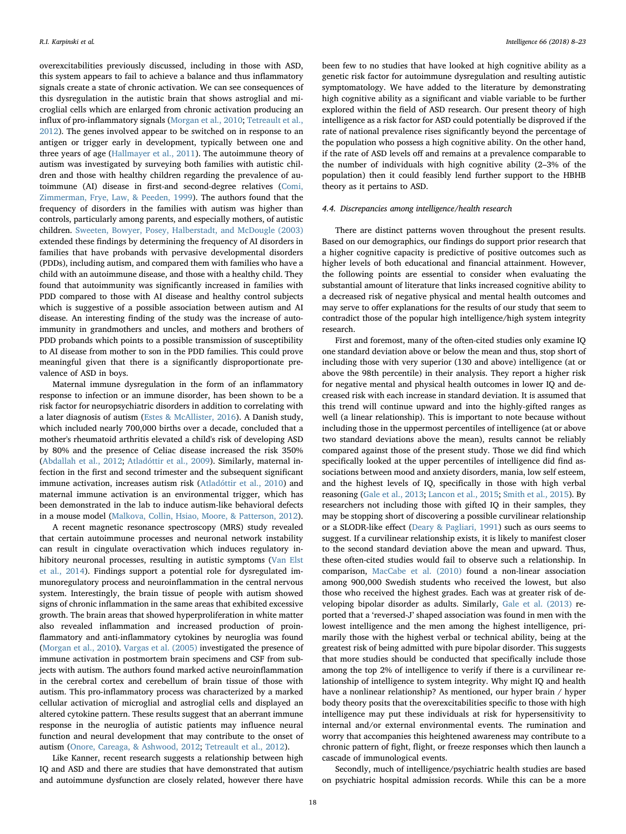overexcitabilities previously discussed, including in those with ASD, this system appears to fail to achieve a balance and thus inflammatory signals create a state of chronic activation. We can see consequences of this dysregulation in the autistic brain that shows astroglial and microglial cells which are enlarged from chronic activation producing an influx of pro-inflammatory signals [\(Morgan et al., 2010;](#page-14-46) [Tetreault et al.,](#page-15-17) [2012\)](#page-15-17). The genes involved appear to be switched on in response to an antigen or trigger early in development, typically between one and three years of age [\(Hallmayer et al., 2011\)](#page-13-42). The autoimmune theory of autism was investigated by surveying both families with autistic children and those with healthy children regarding the prevalence of autoimmune (AI) disease in first-and second-degree relatives ([Comi,](#page-13-43) [Zimmerman, Frye, Law, & Peeden, 1999](#page-13-43)). The authors found that the frequency of disorders in the families with autism was higher than controls, particularly among parents, and especially mothers, of autistic children. [Sweeten, Bowyer, Posey, Halberstadt, and McDougle \(2003\)](#page-15-18) extended these findings by determining the frequency of AI disorders in families that have probands with pervasive developmental disorders (PDDs), including autism, and compared them with families who have a child with an autoimmune disease, and those with a healthy child. They found that autoimmunity was significantly increased in families with PDD compared to those with AI disease and healthy control subjects which is suggestive of a possible association between autism and AI disease. An interesting finding of the study was the increase of autoimmunity in grandmothers and uncles, and mothers and brothers of PDD probands which points to a possible transmission of susceptibility to AI disease from mother to son in the PDD families. This could prove meaningful given that there is a significantly disproportionate prevalence of ASD in boys.

Maternal immune dysregulation in the form of an inflammatory response to infection or an immune disorder, has been shown to be a risk factor for neuropsychiatric disorders in addition to correlating with a later diagnosis of autism [\(Estes & McAllister, 2016\)](#page-13-44). A Danish study, which included nearly 700,000 births over a decade, concluded that a mother's rheumatoid arthritis elevated a child's risk of developing ASD by 80% and the presence of Celiac disease increased the risk 350% ([Abdallah et al., 2012](#page-12-19); [Atladóttir et al., 2009\)](#page-12-20). Similarly, maternal infection in the first and second trimester and the subsequent significant immune activation, increases autism risk ([Atladóttir et al., 2010\)](#page-12-21) and maternal immune activation is an environmental trigger, which has been demonstrated in the lab to induce autism-like behavioral defects in a mouse model [\(Malkova, Collin, Hsiao, Moore, & Patterson, 2012](#page-14-47)).

A recent magnetic resonance spectroscopy (MRS) study revealed that certain autoimmune processes and neuronal network instability can result in cingulate overactivation which induces regulatory inhibitory neuronal processes, resulting in autistic symptoms [\(Van Elst](#page-15-19) [et al., 2014\)](#page-15-19). Findings support a potential role for dysregulated immunoregulatory process and neuroinflammation in the central nervous system. Interestingly, the brain tissue of people with autism showed signs of chronic inflammation in the same areas that exhibited excessive growth. The brain areas that showed hyperproliferation in white matter also revealed inflammation and increased production of proinflammatory and anti-inflammatory cytokines by neuroglia was found ([Morgan et al., 2010](#page-14-46)). [Vargas et al. \(2005\)](#page-15-16) investigated the presence of immune activation in postmortem brain specimens and CSF from subjects with autism. The authors found marked active neuroinflammation in the cerebral cortex and cerebellum of brain tissue of those with autism. This pro-inflammatory process was characterized by a marked cellular activation of microglial and astroglial cells and displayed an altered cytokine pattern. These results suggest that an aberrant immune response in the neuroglia of autistic patients may influence neural function and neural development that may contribute to the onset of autism ([Onore, Careaga, & Ashwood, 2012](#page-14-48); [Tetreault et al., 2012\)](#page-15-17).

Like Kanner, recent research suggests a relationship between high IQ and ASD and there are studies that have demonstrated that autism and autoimmune dysfunction are closely related, however there have been few to no studies that have looked at high cognitive ability as a genetic risk factor for autoimmune dysregulation and resulting autistic symptomatology. We have added to the literature by demonstrating high cognitive ability as a significant and viable variable to be further explored within the field of ASD research. Our present theory of high intelligence as a risk factor for ASD could potentially be disproved if the rate of national prevalence rises significantly beyond the percentage of the population who possess a high cognitive ability. On the other hand, if the rate of ASD levels off and remains at a prevalence comparable to the number of individuals with high cognitive ability (2–3% of the population) then it could feasibly lend further support to the HBHB theory as it pertains to ASD.

# 4.4. Discrepancies among intelligence/health research

There are distinct patterns woven throughout the present results. Based on our demographics, our findings do support prior research that a higher cognitive capacity is predictive of positive outcomes such as higher levels of both educational and financial attainment. However, the following points are essential to consider when evaluating the substantial amount of literature that links increased cognitive ability to a decreased risk of negative physical and mental health outcomes and may serve to offer explanations for the results of our study that seem to contradict those of the popular high intelligence/high system integrity research.

First and foremost, many of the often-cited studies only examine IQ one standard deviation above or below the mean and thus, stop short of including those with very superior (130 and above) intelligence (at or above the 98th percentile) in their analysis. They report a higher risk for negative mental and physical health outcomes in lower IQ and decreased risk with each increase in standard deviation. It is assumed that this trend will continue upward and into the highly-gifted ranges as well (a linear relationship). This is important to note because without including those in the uppermost percentiles of intelligence (at or above two standard deviations above the mean), results cannot be reliably compared against those of the present study. Those we did find which specifically looked at the upper percentiles of intelligence did find associations between mood and anxiety disorders, mania, low self esteem, and the highest levels of IQ, specifically in those with high verbal reasoning ([Gale et al., 2013](#page-13-4); [Lancon et al., 2015;](#page-14-1) [Smith et al., 2015](#page-15-3)). By researchers not including those with gifted IQ in their samples, they may be stopping short of discovering a possible curvilinear relationship or a SLODR-like effect (Deary [& Pagliari, 1991](#page-13-45)) such as ours seems to suggest. If a curvilinear relationship exists, it is likely to manifest closer to the second standard deviation above the mean and upward. Thus, these often-cited studies would fail to observe such a relationship. In comparison, [MacCabe et al. \(2010\)](#page-14-0) found a non-linear association among 900,000 Swedish students who received the lowest, but also those who received the highest grades. Each was at greater risk of developing bipolar disorder as adults. Similarly, [Gale et al. \(2013\)](#page-13-4) reported that a 'reversed-J' shaped association was found in men with the lowest intelligence and the men among the highest intelligence, primarily those with the highest verbal or technical ability, being at the greatest risk of being admitted with pure bipolar disorder. This suggests that more studies should be conducted that specifically include those among the top 2% of intelligence to verify if there is a curvilinear relationship of intelligence to system integrity. Why might IQ and health have a nonlinear relationship? As mentioned, our hyper brain / hyper body theory posits that the overexcitabilities specific to those with high intelligence may put these individuals at risk for hypersensitivity to internal and/or external environmental events. The rumination and worry that accompanies this heightened awareness may contribute to a chronic pattern of fight, flight, or freeze responses which then launch a cascade of immunological events.

Secondly, much of intelligence/psychiatric health studies are based on psychiatric hospital admission records. While this can be a more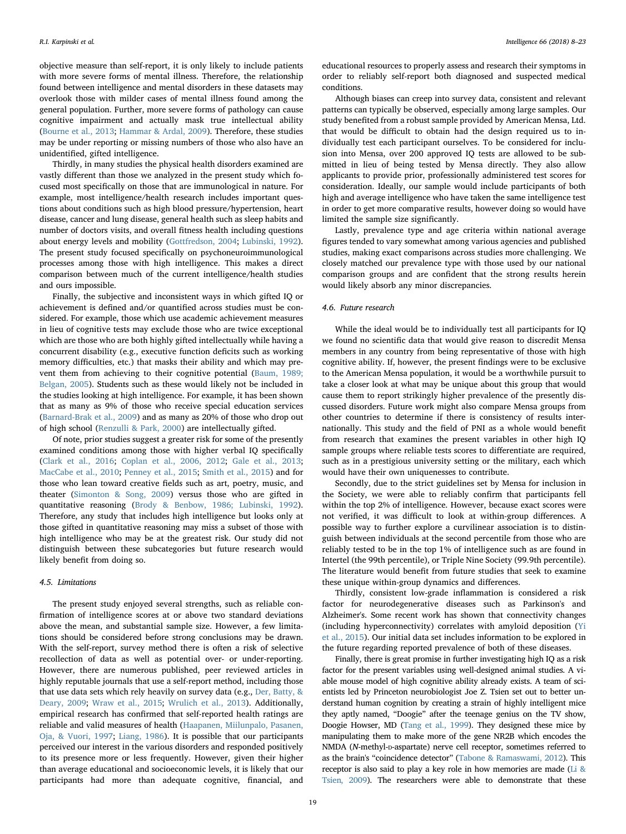objective measure than self-report, it is only likely to include patients with more severe forms of mental illness. Therefore, the relationship found between intelligence and mental disorders in these datasets may overlook those with milder cases of mental illness found among the general population. Further, more severe forms of pathology can cause cognitive impairment and actually mask true intellectual ability ([Bourne et al., 2013;](#page-12-22) [Hammar & Ardal, 2009\)](#page-13-46). Therefore, these studies may be under reporting or missing numbers of those who also have an unidentified, gifted intelligence.

Thirdly, in many studies the physical health disorders examined are vastly different than those we analyzed in the present study which focused most specifically on those that are immunological in nature. For example, most intelligence/health research includes important questions about conditions such as high blood pressure/hypertension, heart disease, cancer and lung disease, general health such as sleep habits and number of doctors visits, and overall fitness health including questions about energy levels and mobility [\(Gottfredson, 2004](#page-13-2); [Lubinski, 1992](#page-14-49)). The present study focused specifically on psychoneuroimmunological processes among those with high intelligence. This makes a direct comparison between much of the current intelligence/health studies and ours impossible.

Finally, the subjective and inconsistent ways in which gifted IQ or achievement is defined and/or quantified across studies must be considered. For example, those which use academic achievement measures in lieu of cognitive tests may exclude those who are twice exceptional which are those who are both highly gifted intellectually while having a concurrent disability (e.g., executive function deficits such as working memory difficulties, etc.) that masks their ability and which may prevent them from achieving to their cognitive potential [\(Baum, 1989;](#page-12-23) [Belgan, 2005](#page-12-23)). Students such as these would likely not be included in the studies looking at high intelligence. For example, it has been shown that as many as 9% of those who receive special education services ([Barnard-Brak et al., 2009](#page-12-24)) and as many as 20% of those who drop out of high school ([Renzulli & Park, 2000\)](#page-14-50) are intellectually gifted.

Of note, prior studies suggest a greater risk for some of the presently examined conditions among those with higher verbal IQ specifically ([Clark et al., 2016;](#page-13-5) [Coplan et al., 2006, 2012](#page-13-14); [Gale et al., 2013](#page-13-4); [MacCabe et al., 2010](#page-14-0); [Penney et al., 2015;](#page-14-8) [Smith et al., 2015](#page-15-3)) and for those who lean toward creative fields such as art, poetry, music, and theater [\(Simonton & Song, 2009\)](#page-15-4) versus those who are gifted in quantitative reasoning [\(Brody & Benbow, 1986; Lubinski, 1992](#page-12-25)). Therefore, any study that includes high intelligence but looks only at those gifted in quantitative reasoning may miss a subset of those with high intelligence who may be at the greatest risk. Our study did not distinguish between these subcategories but future research would likely benefit from doing so.

#### 4.5. Limitations

The present study enjoyed several strengths, such as reliable confirmation of intelligence scores at or above two standard deviations above the mean, and substantial sample size. However, a few limitations should be considered before strong conclusions may be drawn. With the self-report, survey method there is often a risk of selective recollection of data as well as potential over- or under-reporting. However, there are numerous published, peer reviewed articles in highly reputable journals that use a self-report method, including those that use data sets which rely heavily on survey data (e.g., [Der, Batty, &](#page-13-47) [Deary, 2009](#page-13-47); [Wraw et al., 2015](#page-15-0); [Wrulich et al., 2013\)](#page-15-1). Additionally, empirical research has confirmed that self-reported health ratings are reliable and valid measures of health [\(Haapanen, Miilunpalo, Pasanen,](#page-13-48) [Oja, & Vuori, 1997;](#page-13-48) [Liang, 1986](#page-14-51)). It is possible that our participants perceived our interest in the various disorders and responded positively to its presence more or less frequently. However, given their higher than average educational and socioeconomic levels, it is likely that our participants had more than adequate cognitive, financial, and

educational resources to properly assess and research their symptoms in order to reliably self-report both diagnosed and suspected medical conditions.

Although biases can creep into survey data, consistent and relevant patterns can typically be observed, especially among large samples. Our study benefited from a robust sample provided by American Mensa, Ltd. that would be difficult to obtain had the design required us to individually test each participant ourselves. To be considered for inclusion into Mensa, over 200 approved IQ tests are allowed to be submitted in lieu of being tested by Mensa directly. They also allow applicants to provide prior, professionally administered test scores for consideration. Ideally, our sample would include participants of both high and average intelligence who have taken the same intelligence test in order to get more comparative results, however doing so would have limited the sample size significantly.

Lastly, prevalence type and age criteria within national average figures tended to vary somewhat among various agencies and published studies, making exact comparisons across studies more challenging. We closely matched our prevalence type with those used by our national comparison groups and are confident that the strong results herein would likely absorb any minor discrepancies.

#### 4.6. Future research

While the ideal would be to individually test all participants for IQ we found no scientific data that would give reason to discredit Mensa members in any country from being representative of those with high cognitive ability. If, however, the present findings were to be exclusive to the American Mensa population, it would be a worthwhile pursuit to take a closer look at what may be unique about this group that would cause them to report strikingly higher prevalence of the presently discussed disorders. Future work might also compare Mensa groups from other countries to determine if there is consistency of results internationally. This study and the field of PNI as a whole would benefit from research that examines the present variables in other high IQ sample groups where reliable tests scores to differentiate are required, such as in a prestigious university setting or the military, each which would have their own uniquenesses to contribute.

Secondly, due to the strict guidelines set by Mensa for inclusion in the Society, we were able to reliably confirm that participants fell within the top 2% of intelligence. However, because exact scores were not verified, it was difficult to look at within-group differences. A possible way to further explore a curvilinear association is to distinguish between individuals at the second percentile from those who are reliably tested to be in the top 1% of intelligence such as are found in Intertel (the 99th percentile), or Triple Nine Society (99.9th percentile). The literature would benefit from future studies that seek to examine these unique within-group dynamics and differences.

Thirdly, consistent low-grade inflammation is considered a risk factor for neurodegenerative diseases such as Parkinson's and Alzheimer's. Some recent work has shown that connectivity changes (including hyperconnectivity) correlates with amyloid deposition [\(Yi](#page-15-20) [et al., 2015\)](#page-15-20). Our initial data set includes information to be explored in the future regarding reported prevalence of both of these diseases.

Finally, there is great promise in further investigating high IQ as a risk factor for the present variables using well-designed animal studies. A viable mouse model of high cognitive ability already exists. A team of scientists led by Princeton neurobiologist Joe Z. Tsien set out to better understand human cognition by creating a strain of highly intelligent mice they aptly named, "Doogie" after the teenage genius on the TV show, Doogie Howser, MD [\(Tang et al., 1999\)](#page-15-21). They designed these mice by manipulating them to make more of the gene NR2B which encodes the NMDA (N-methyl-p-aspartate) nerve cell receptor, sometimes referred to as the brain's "coincidence detector" ([Tabone & Ramaswami, 2012\)](#page-15-22). This receptor is also said to play a key role in how memories are made [\(Li &](#page-14-52) [Tsien, 2009](#page-14-52)). The researchers were able to demonstrate that these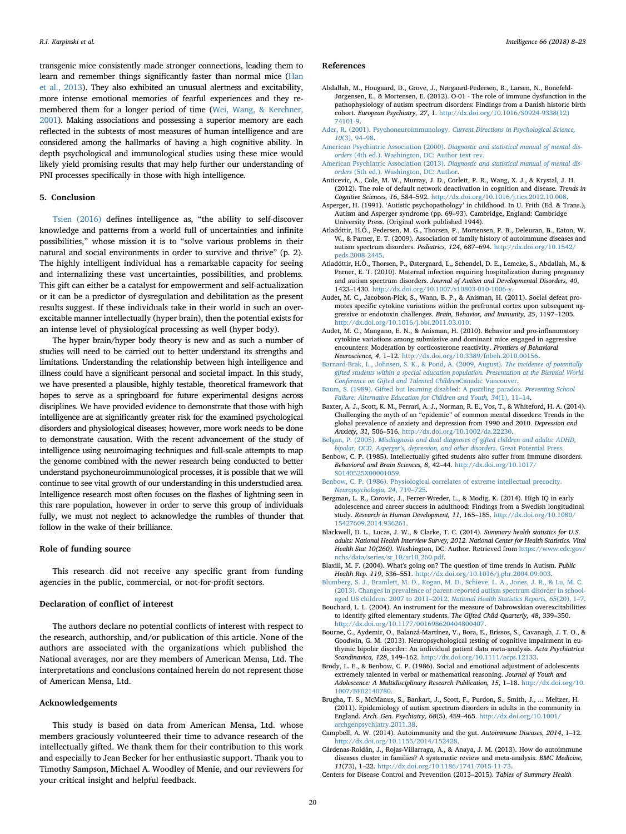transgenic mice consistently made stronger connections, leading them to learn and remember things significantly faster than normal mice ([Han](#page-13-49) [et al., 2013](#page-13-49)). They also exhibited an unusual alertness and excitability, more intense emotional memories of fearful experiences and they remembered them for a longer period of time [\(Wei, Wang, & Kerchner,](#page-15-23) [2001\)](#page-15-23). Making associations and possessing a superior memory are each reflected in the subtests of most measures of human intelligence and are considered among the hallmarks of having a high cognitive ability. In depth psychological and immunological studies using these mice would likely yield promising results that may help further our understanding of PNI processes specifically in those with high intelligence.

# 5. Conclusion

[Tsien \(2016\)](#page-15-24) defines intelligence as, "the ability to self-discover knowledge and patterns from a world full of uncertainties and infinite possibilities," whose mission it is to "solve various problems in their natural and social environments in order to survive and thrive" (p. 2). The highly intelligent individual has a remarkable capacity for seeing and internalizing these vast uncertainties, possibilities, and problems. This gift can either be a catalyst for empowerment and self-actualization or it can be a predictor of dysregulation and debilitation as the present results suggest. If these individuals take in their world in such an overexcitable manner intellectually (hyper brain), then the potential exists for an intense level of physiological processing as well (hyper body).

The hyper brain/hyper body theory is new and as such a number of studies will need to be carried out to better understand its strengths and limitations. Understanding the relationship between high intelligence and illness could have a significant personal and societal impact. In this study, we have presented a plausible, highly testable, theoretical framework that hopes to serve as a springboard for future experimental designs across disciplines. We have provided evidence to demonstrate that those with high intelligence are at significantly greater risk for the examined psychological disorders and physiological diseases; however, more work needs to be done to demonstrate causation. With the recent advancement of the study of intelligence using neuroimaging techniques and full-scale attempts to map the genome combined with the newer research being conducted to better understand psychoneuroimmunological processes, it is possible that we will continue to see vital growth of our understanding in this understudied area. Intelligence research most often focuses on the flashes of lightning seen in this rare population, however in order to serve this group of individuals fully, we must not neglect to acknowledge the rumbles of thunder that follow in the wake of their brilliance.

# Role of funding source

This research did not receive any specific grant from funding agencies in the public, commercial, or not-for-profit sectors.

#### Declaration of conflict of interest

The authors declare no potential conflicts of interest with respect to the research, authorship, and/or publication of this article. None of the authors are associated with the organizations which published the National averages, nor are they members of American Mensa, Ltd. The interpretations and conclusions contained herein do not represent those of American Mensa, Ltd.

# Acknowledgements

This study is based on data from American Mensa, Ltd. whose members graciously volunteered their time to advance research of the intellectually gifted. We thank them for their contribution to this work and especially to Jean Becker for her enthusiastic support. Thank you to Timothy Sampson, Michael A. Woodley of Menie, and our reviewers for your critical insight and helpful feedback.

#### References

- <span id="page-12-19"></span>Abdallah, M., Hougaard, D., Grove, J., Nørgaard-Pedersen, B., Larsen, N., Bonefeld-Jørgensen, E., & Mortensen, E. (2012). O-01 - The role of immune dysfunction in the pathophysiology of autism spectrum disorders: Findings from a Danish historic birth cohort. European Psychiatry, 27, 1. [http://dx.doi.org/10.1016/S0924-9338\(12\)](http://dx.doi.org/10.1016/S0924-9338(12)74101-9) [74101-9](http://dx.doi.org/10.1016/S0924-9338(12)74101-9).
- <span id="page-12-2"></span>[Ader, R. \(2001\). Psychoneuroimmunology.](http://refhub.elsevier.com/S0160-2896(16)30332-4/rf0010) Current Directions in Psychological Science, 10[\(3\), 94](http://refhub.elsevier.com/S0160-2896(16)30332-4/rf0010)–98.
- <span id="page-12-6"></span>American Psychiatric Association (2000). [Diagnostic and statistical manual of mental dis](http://refhub.elsevier.com/S0160-2896(16)30332-4/rf0015)orders [\(4th ed.\). Washington, DC: Author text rev.](http://refhub.elsevier.com/S0160-2896(16)30332-4/rf0015)
- <span id="page-12-3"></span>American Psychiatric Association (2013). [Diagnostic and statistical manual of mental dis](http://refhub.elsevier.com/S0160-2896(16)30332-4/rf0020)orders [\(5th ed.\). Washington, DC: Author](http://refhub.elsevier.com/S0160-2896(16)30332-4/rf0020).
- <span id="page-12-14"></span>Anticevic, A., Cole, M. W., Murray, J. D., Corlett, P. R., Wang, X. J., & Krystal, J. H. (2012). The role of default network deactivation in cognition and disease. Trends in Cognitive Sciences, 16, 584–592. <http://dx.doi.org/10.1016/j.tics.2012.10.008>.
- <span id="page-12-5"></span>Asperger, H. (1991). 'Autistic psychopathology' in childhood. In U. Frith (Ed. & Trans.), Autism and Asperger syndrome (pp. 69–93). Cambridge, England: Cambridge University Press. (Original work published 1944).
- <span id="page-12-20"></span>Atladóttir, H.Ó., Pedersen, M. G., Thorsen, P., Mortensen, P. B., Deleuran, B., Eaton, W. W., & Parner, E. T. (2009). Association of family history of autoimmune diseases and autism spectrum disorders. Pediatrics, 124, 687–694. [http://dx.doi.org/10.1542/](http://dx.doi.org/10.1542/peds.2008-2445) [peds.2008-2445.](http://dx.doi.org/10.1542/peds.2008-2445)
- <span id="page-12-21"></span>Atladóttir, H.Ó., Thorsen, P., Østergaard, L., Schendel, D. E., Lemcke, S., Abdallah, M., & Parner, E. T. (2010). Maternal infection requiring hospitalization during pregnancy and autism spectrum disorders. Journal of Autism and Developmental Disorders, 40, 1423–1430. <http://dx.doi.org/10.1007/s10803-010-1006-y>.
- <span id="page-12-15"></span>Audet, M. C., Jacobson-Pick, S., Wann, B. P., & Anisman, H. (2011). Social defeat promotes specific cytokine variations within the prefrontal cortex upon subsequent aggressive or endotoxin challenges. Brain, Behavior, and Immunity, 25, 1197–1205. [http://dx.doi.org/10.1016/j.bbi.2011.03.010.](http://dx.doi.org/10.1016/j.bbi.2011.03.010)
- <span id="page-12-16"></span>Audet, M. C., Mangano, E. N., & Anisman, H. (2010). Behavior and pro-inflammatory cytokine variations among submissive and dominant mice engaged in aggressive encounters: Moderation by corticosterone reactivity. Frontiers of Behavioral Neuroscience, 4, 1–12. <http://dx.doi.org/10.3389/fnbeh.2010.00156>.
- <span id="page-12-24"></span>[Barnard-Brak, L., Johnsen, S. K., & Pond, A. \(2009, August\).](http://refhub.elsevier.com/S0160-2896(16)30332-4/rf5020) The incidence of potentially [gifted students within a special education population. Presentation at the Biennial World](http://refhub.elsevier.com/S0160-2896(16)30332-4/rf5020) [Conference on Gifted and Talented Children](http://refhub.elsevier.com/S0160-2896(16)30332-4/rf5020)Canada: Vancouver.
- <span id="page-12-23"></span>[Baum, S. \(1989\). Gifted but learning disabled: A puzzling paradox.](http://refhub.elsevier.com/S0160-2896(16)30332-4/rf5010) Preventing School [Failure: Alternative Education for Children and Youth, 34](http://refhub.elsevier.com/S0160-2896(16)30332-4/rf5010)(1), 11-14.
- <span id="page-12-12"></span>Baxter, A. J., Scott, K. M., Ferrari, A. J., Norman, R. E., Vos, T., & Whiteford, H. A. (2014). Challenging the myth of an "epidemic" of common mental disorders: Trends in the global prevalence of anxiety and depression from 1990 and 2010. Depression and Anxiety, 31, 506–516. <http://dx.doi.org/10.1002/da.22230>.
- Belgan, P. (2005). [Misdiagnosis and dual diagnoses of gifted children and adults: ADHD,](http://refhub.elsevier.com/S0160-2896(16)30332-4/rf5015) bipolar, OCD, Asperger'[s, depression, and other disorders.](http://refhub.elsevier.com/S0160-2896(16)30332-4/rf5015) Great Potential Press.
- <span id="page-12-1"></span>Benbow, C. P. (1985). Intellectually gifted students also suffer from immune disorders. Behavioral and Brain Sciences, 8, 42–44. [http://dx.doi.org/10.1017/](http://dx.doi.org/10.1017/S0140525X00001059) [S0140525X00001059.](http://dx.doi.org/10.1017/S0140525X00001059)
- <span id="page-12-4"></span>[Benbow, C. P. \(1986\). Physiological correlates of extreme intellectual precocity.](http://refhub.elsevier.com/S0160-2896(16)30332-4/rf0060) [Neuropsychologia, 24](http://refhub.elsevier.com/S0160-2896(16)30332-4/rf0060), 719–725.
- <span id="page-12-0"></span>Bergman, L. R., Corovic, J., Ferrer-Wreder, L., & Modig, K. (2014). High IQ in early adolescence and career success in adulthood: Findings from a Swedish longitudinal study. Research in Human Development, 11, 165–185. [http://dx.doi.org/10.1080/](http://dx.doi.org/10.1080/15427609.2014.936261) [15427609.2014.936261.](http://dx.doi.org/10.1080/15427609.2014.936261)
- <span id="page-12-11"></span>Blackwell, D. L., Lucas, J. W., & Clarke, T. C. (2014). Summary health statistics for U.S. adults: National Health Interview Survey, 2012. National Center for Health Statistics. Vital Health Stat 10(260). Washington, DC: Author. Retrieved from [https://www.cdc.gov/](https://www.cdc.gov/nchs/data/series/sr_10/sr10_260.pdf) [nchs/data/series/sr\\_10/sr10\\_260.pdf](https://www.cdc.gov/nchs/data/series/sr_10/sr10_260.pdf).
- <span id="page-12-7"></span>Blaxill, M. F. (2004). What's going on? The question of time trends in Autism. Public Health Rep. 119, 536–551. <http://dx.doi.org/10.1016/j.phr.2004.09.003>.
- <span id="page-12-8"></span>[Blumberg, S. J., Bramlett, M. D., Kogan, M. D., Schieve, L. A., Jones, J. R., & Lu, M. C.](http://refhub.elsevier.com/S0160-2896(16)30332-4/rf0075) [\(2013\). Changes in prevalence of parent-reported autism spectrum disorder in school](http://refhub.elsevier.com/S0160-2896(16)30332-4/rf0075)aged US children: 2007 to 2011–2012. [National Health Statistics Reports, 65](http://refhub.elsevier.com/S0160-2896(16)30332-4/rf0075)(20), 1–7.
- <span id="page-12-13"></span>Bouchard, L. L. (2004). An instrument for the measure of Dabrowskian overexcitabilities to identify gifted elementary students. The Gifted Child Quarterly, 48, 339–350. <http://dx.doi.org/10.1177/001698620404800407>.
- <span id="page-12-22"></span>Bourne, C., Aydemir, O., Balanzá-Martínez, V., Bora, E., Brissos, S., Cavanagh, J. T. O., & Goodwin, G. M. (2013). Neuropsychological testing of cognitive impairment in euthymic bipolar disorder: An individual patient data meta-analysis. Acta Psychiatrica Scandinavica, 128, 149–162. [http://dx.doi.org/10.1111/acps.12133.](http://dx.doi.org/10.1111/acps.12133)
- <span id="page-12-25"></span>Brody, L. E., & Benbow, C. P. (1986). Social and emotional adjustment of adolescents extremely talented in verbal or mathematical reasoning. Journal of Youth and Adolescence: A Multidisciplinary Research Publication, 15, 1–18. [http://dx.doi.org/10.](http://dx.doi.org/10.1007/BF02140780) [1007/BF02140780](http://dx.doi.org/10.1007/BF02140780).
- <span id="page-12-9"></span>Brugha, T. S., McManus, S., Bankart, J., Scott, F., Purdon, S., Smith, J., ... Meltzer, H. (2011). Epidemiology of autism spectrum disorders in adults in the community in England. Arch. Gen. Psychiatry, 68(5), 459–465. [http://dx.doi.org/10.1001/](http://dx.doi.org/10.1001/archgenpsychiatry.2011.38) [archgenpsychiatry.2011.38](http://dx.doi.org/10.1001/archgenpsychiatry.2011.38).
- <span id="page-12-18"></span>Campbell, A. W. (2014). Autoimmunity and the gut. Autoimmune Diseases, 2014, 1–12. <http://dx.doi.org/10.1155/2014/152428>.
- <span id="page-12-17"></span>Cárdenas-Roldán, J., Rojas-Villarraga, A., & Anaya, J. M. (2013). How do autoimmune diseases cluster in families? A systematic review and meta-analysis. BMC Medicine, 11(73), 1–22. <http://dx.doi.org/10.1186/1741-7015-11-73>.
- <span id="page-12-10"></span>Centers for Disease Control and Prevention (2013–2015). Tables of Summary Health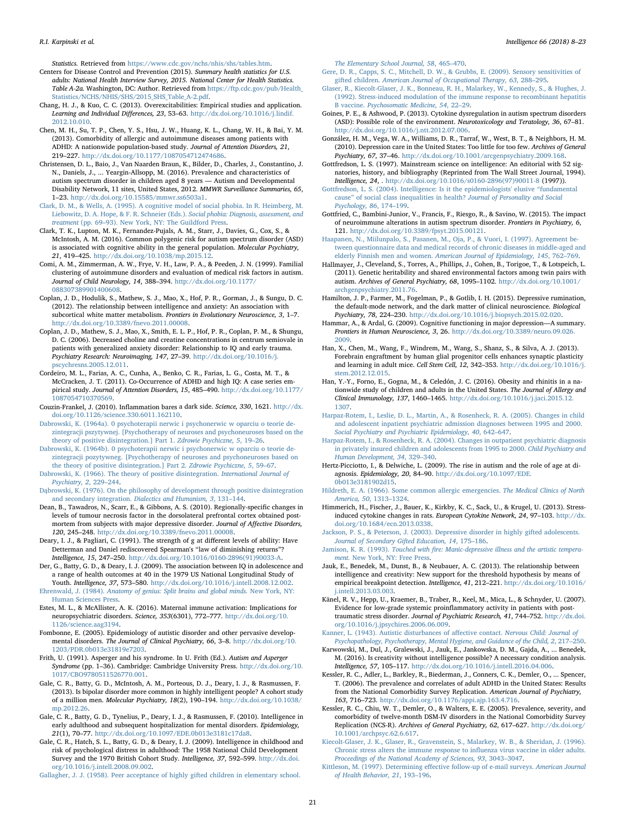- <span id="page-13-28"></span>Centers for Disease Control and Prevention (2015). Summary health statistics for U.S. adults: National Health Interview Survey, 2015. National Center for Health Statistics. Table A-2a. Washington, DC: Author. Retrieved from [https://ftp.cdc.gov/pub/Health\\_](https://ftp.cdc.gov/pub/Health_Statistics/NCHS/NHIS/SHS/2015_SHS_Table_A-2.pdf) Statistics/NCHS/NHIS/SHS/2015 SHS Table A-2.pdf.
- <span id="page-13-11"></span>Chang, H. J., & Kuo, C. C. (2013). Overexcitabilities: Empirical studies and application. Learning and Individual Differences, 23, 53–63. [http://dx.doi.org/10.1016/j.lindif.](http://dx.doi.org/10.1016/j.lindif.2012.10.010) [2012.10.010](http://dx.doi.org/10.1016/j.lindif.2012.10.010).
- <span id="page-13-20"></span>Chen, M. H., Su, T. P., Chen, Y. S., Hsu, J. W., Huang, K. L., Chang, W. H., & Bai, Y. M. (2013). Comorbidity of allergic and autoimmune diseases among patients with ADHD: A nationwide population-based study. Journal of Attention Disorders, 21, 219–227. [http://dx.doi.org/10.1177/1087054712474686.](http://dx.doi.org/10.1177/1087054712474686)
- <span id="page-13-27"></span>Christensen, D. L., Baio, J., Van Naarden Braun, K., Bilder, D., Charles, J., Constantino, J. N., Daniels, J., ... Yeargin-Allsopp, M. (2016). Prevalence and characteristics of autism spectrum disorder in children aged 8 years — Autism and Developmental Disability Network, 11 sites, United States, 2012. MMWR Surveillance Summaries, 65, 1–23. <http://dx.doi.org/10.15585/mmwr.ss6503a1>.
- <span id="page-13-15"></span>[Clark, D. M., & Wells, A. \(1995\). A cognitive model of social phobia. In R. Heimberg, M.](http://refhub.elsevier.com/S0160-2896(16)30332-4/rf0130) [Liebowitz, D. A. Hope, & F. R. Schneier \(Eds.\).](http://refhub.elsevier.com/S0160-2896(16)30332-4/rf0130) Social phobia: Diagnosis, assessment, and treatment (pp. 69–[93\). New York, NY: The Guildford Press](http://refhub.elsevier.com/S0160-2896(16)30332-4/rf0130).
- <span id="page-13-5"></span>Clark, T. K., Lupton, M. K., Fernandez-Pujals, A. M., Starr, J., Davies, G., Cox, S., & McIntosh, A. M. (2016). Common polygenic risk for autism spectrum disorder (ASD) is associated with cognitive ability in the general population. Molecular Psychiatry, 21, 419–425. <http://dx.doi.org/10.1038/mp.2015.12>.
- <span id="page-13-43"></span>Comi, A. M., Zimmerman, A. W., Frye, V. H., Law, P. A., & Peeden, J. N. (1999). Familial clustering of autoimmune disorders and evaluation of medical risk factors in autism. Journal of Child Neurology, 14, 388–394. [http://dx.doi.org/10.1177/](http://dx.doi.org/10.1177/088307389901400608) [088307389901400608](http://dx.doi.org/10.1177/088307389901400608).
- Coplan, J. D., Hodulik, S., Mathew, S. J., Mao, X., Hof, P. R., Gorman, J., & Sungu, D. C. (2012). The relationship between intelligence and anxiety: An association with subcortical white matter metabolism. Frontiers in Evolutionary Neuroscience, 3, 1–7. [http://dx.doi.org/10.3389/fnevo.2011.00008.](http://dx.doi.org/10.3389/fnevo.2011.00008)
- <span id="page-13-14"></span>Coplan, J. D., Mathew, S. J., Mao, X., Smith, E. L. P., Hof, P. R., Coplan, P. M., & Shungu, D. C. (2006). Decreased choline and creatine concentrations in centrum semiovale in patients with generalized anxiety disorder: Relationship to IQ and early trauma. Psychiatry Research: Neuroimaging, 147, 27–39. [http://dx.doi.org/10.1016/j.](http://dx.doi.org/10.1016/j.pscychresns.2005.12.011) [pscychresns.2005.12.011.](http://dx.doi.org/10.1016/j.pscychresns.2005.12.011)
- <span id="page-13-21"></span>Cordeiro, M. L., Farias, A. C., Cunha, A., Benko, C. R., Farias, L. G., Costa, M. T., & McCracken, J. T. (2011). Co-Occurrence of ADHD and high IQ: A case series empirical study. Journal of Attention Disorders, 15, 485–490. [http://dx.doi.org/10.1177/](http://dx.doi.org/10.1177/1087054710370569) [1087054710370569.](http://dx.doi.org/10.1177/1087054710370569)
- <span id="page-13-37"></span>Couzin-Frankel, J. (2010). Inflammation bares a dark side. Science, 330, 1621. [http://dx.](http://dx.doi.org/10.1126/science.330.6011.162110) [doi.org/10.1126/science.330.6011.162110](http://dx.doi.org/10.1126/science.330.6011.162110).
- <span id="page-13-12"></span>[Dabrowski, K. \(1964a\). 0 psychoterapii nerwic i psychonerwic w oparciu o teorie de](http://refhub.elsevier.com/S0160-2896(16)30332-4/rf0165)[zintegracji pszytywnej. \[Psychotherapy of neuroses and psychoneuroses based on the](http://refhub.elsevier.com/S0160-2896(16)30332-4/rf0165) [theory of positive disintegration.\] Part 1.](http://refhub.elsevier.com/S0160-2896(16)30332-4/rf0165) Zdrowie Psychiczne, 5, 19–26.
- [Dabrowski, K. \(1964b\). 0 psychoterapii nerwic i psychonerwic w oparciu o teorie de](http://refhub.elsevier.com/S0160-2896(16)30332-4/rf0170)[zintegracji pozytywneg. \[Psychotherapy of neuroses and psychoneuroses based on](http://refhub.elsevier.com/S0160-2896(16)30332-4/rf0170) [the theory of positive disintegration.\] Part 2.](http://refhub.elsevier.com/S0160-2896(16)30332-4/rf0170) Zdrowie Psychiczne, 5, 59–67.
- [Dabrowski, K. \(1966\). The theory of positive disintegration.](http://refhub.elsevier.com/S0160-2896(16)30332-4/rf0175) International Journal of [Psychiatry, 2](http://refhub.elsevier.com/S0160-2896(16)30332-4/rf0175), 229–244.
- <span id="page-13-13"></span>Dą[browski, K. \(1976\). On the philosophy of development through positive disintegration](http://refhub.elsevier.com/S0160-2896(16)30332-4/rf0180) and secondary integration. [Dialectics and Humanism, 3](http://refhub.elsevier.com/S0160-2896(16)30332-4/rf0180), 131–144.
- <span id="page-13-36"></span>Dean, B., Tawadros, N., Scarr, E., & Gibbons, A. S. (2010). Regionally-specific changes in levels of tumour necrosis factor in the dorsolateral prefrontal cortex obtained postmortem from subjects with major depressive disorder. Journal of Affective Disorders, 120, 245–248. <http://dx.doi.org/10.3389/fnevo.2011.00008>.
- <span id="page-13-45"></span>Deary, I. J., & Pagliari, C. (1991). The strength of g at different levels of ability: Have Detterman and Daniel rediscovered Spearman's "law of diminishing returns"? Intelligence, 15, 247–250. [http://dx.doi.org/10.1016/0160-2896\(91\)90033-A.](http://dx.doi.org/10.1016/0160-2896(91)90033-A)
- <span id="page-13-47"></span>Der, G., Batty, G. D., & Deary, I. J. (2009). The association between IQ in adolescence and a range of health outcomes at 40 in the 1979 US National Longitudinal Study of Youth. Intelligence, 37, 573–580. <http://dx.doi.org/10.1016/j.intell.2008.12.002>.
- <span id="page-13-33"></span>Ehrenwald, J. (1984). [Anatomy of genius: Split brains and global minds.](http://refhub.elsevier.com/S0160-2896(16)30332-4/rf0205) New York, NY: [Human Sciences Press](http://refhub.elsevier.com/S0160-2896(16)30332-4/rf0205).
- <span id="page-13-44"></span>Estes, M. L., & McAllister, A. K. (2016). Maternal immune activation: Implications for neuropsychiatric disorders. Science, 353(6301), 772–777. [http://dx.doi.org/10.](http://dx.doi.org/10.1126/science.aag3194) [1126/science.aag3194](http://dx.doi.org/10.1126/science.aag3194).
- <span id="page-13-32"></span>Fombonne, E. (2005). Epidemiology of autistic disorder and other pervasive developmental disorders. The Journal of Clinical Psychiatry, 66, 3–8. [http://dx.doi.org/10.](http://dx.doi.org/10.1203/PDR.0b013e31819e7203) [1203/PDR.0b013e31819e7203.](http://dx.doi.org/10.1203/PDR.0b013e31819e7203)
- Frith, U. (1991). Asperger and his syndrome. In U. Frith (Ed.). Autism and Asperger Syndrome (pp. 1–36). Cambridge: Cambridge University Press. [http://dx.doi.org/10.](http://dx.doi.org/10.1017/CBO9780511526770.001) [1017/CBO9780511526770.001.](http://dx.doi.org/10.1017/CBO9780511526770.001)
- <span id="page-13-4"></span>Gale, C. R., Batty, G. D., McIntosh, A. M., Porteous, D. J., Deary, I. J., & Rasmussen, F. (2013). Is bipolar disorder more common in highly intelligent people? A cohort study of a million men. Molecular Psychiatry, 18(2), 190–194. [http://dx.doi.org/10.1038/](http://dx.doi.org/10.1038/mp.2012.26) [mp.2012.26.](http://dx.doi.org/10.1038/mp.2012.26)
- <span id="page-13-1"></span>Gale, C. R., Batty, G. D., Tynelius, P., Deary, I. J., & Rasmussen, F. (2010). Intelligence in early adulthood and subsequent hospitalization for mental disorders. Epidemiology, 21(1), 70–77. [http://dx.doi.org/10.1097/EDE.0b013e3181c17da8.](http://dx.doi.org/10.1097/EDE.0b013e3181c17da8)
- <span id="page-13-0"></span>Gale, C. R., Hatch, S. L., Batty, G. D., & Deary, I. J. (2009). Intelligence in childhood and risk of psychological distress in adulthood: The 1958 National Child Development Survey and the 1970 British Cohort Study. Intelligence, 37, 592–599. [http://dx.doi.](http://dx.doi.org/10.1016/j.intell.2008.09.002) [org/10.1016/j.intell.2008.09.002](http://dx.doi.org/10.1016/j.intell.2008.09.002).

<span id="page-13-34"></span>[Gallagher, J. J. \(1958\). Peer acceptance of highly gifted children in elementary school.](http://refhub.elsevier.com/S0160-2896(16)30332-4/rf0235)

[The Elementary School Journal, 58](http://refhub.elsevier.com/S0160-2896(16)30332-4/rf0235), 465–470.

- <span id="page-13-10"></span>[Gere, D. R., Capps, S. C., Mitchell, D. W., & Grubbs, E. \(2009\). Sensory sensitivities of](http://refhub.elsevier.com/S0160-2896(16)30332-4/rf0240) gifted children. [American Journal of Occupational Therapy, 63](http://refhub.elsevier.com/S0160-2896(16)30332-4/rf0240), 288–295.
- <span id="page-13-17"></span>[Glaser, R., Kiecolt-Glaser, J. K., Bonneau, R. H., Malarkey, W., Kennedy, S., & Hughes, J.](http://refhub.elsevier.com/S0160-2896(16)30332-4/rf0245) [\(1992\). Stress-induced modulation of the immune response to recombinant hepatitis](http://refhub.elsevier.com/S0160-2896(16)30332-4/rf0245) B vaccine. [Psychosomatic Medicine, 54](http://refhub.elsevier.com/S0160-2896(16)30332-4/rf0245), 22–29.
- <span id="page-13-40"></span>Goines, P. E., & Ashwood, P. (2013). Cytokine dysregulation in autism spectrum disorders (ASD): Possible role of the environment. Neurotoxicology and Teratology, 36, 67–81. [http://dx.doi.org/10.1016/j.ntt.2012.07.006.](http://dx.doi.org/10.1016/j.ntt.2012.07.006)
- <span id="page-13-25"></span>González, H. M., Vega, W. A., Williams, D. R., Tarraf, W., West, B. T., & Neighbors, H. M. (2010). Depression care in the United States: Too little for too few. Archives of General Psychiatry, 67, 37–46. <http://dx.doi.org/10.1001/arcgenpsychiatry.2009.168>.
- <span id="page-13-6"></span>Gottfredson, L. S. (1997). Mainstream science on intelligence: An editorial with 52 signatories, history, and bibliography (Reprinted from The Wall Street Journal, 1994). Intelligence, 24, . [http://dx.doi.org/10.1016/s0160-2896\(97\)90011-8](http://dx.doi.org/10.1016/s0160-2896(97)90011-8) (1997)).
- <span id="page-13-2"></span>[Gottfredson, L. S. \(2004\). Intelligence: Is it the epidemiologists' elusive](http://refhub.elsevier.com/S0160-2896(16)30332-4/rf0265) "fundamental cause" [of social class inequalities in health?](http://refhub.elsevier.com/S0160-2896(16)30332-4/rf0265) Journal of Personality and Social [Psychology, 86](http://refhub.elsevier.com/S0160-2896(16)30332-4/rf0265), 174–199.
- <span id="page-13-22"></span>Gottfried, C., Bambini-Junior, V., Francis, F., Riesgo, R., & Savino, W. (2015). The impact of neuroimmune alterations in autism spectrum disorder. Frontiers in Psychiatry, 6, 121. [http://dx.doi.org/10.3389/fpsyt.2015.00121.](http://dx.doi.org/10.3389/fpsyt.2015.00121)
- <span id="page-13-48"></span>[Haapanen, N., Miilunpalo, S., Pasanen, M., Oja, P., & Vuori, I. \(1997\). Agreement be](http://refhub.elsevier.com/S0160-2896(16)30332-4/rf0275)[tween questionnaire data and medical records of chronic diseases in middle-aged and](http://refhub.elsevier.com/S0160-2896(16)30332-4/rf0275) elderly Finnish men and women. [American Journal of Epidemiology, 145](http://refhub.elsevier.com/S0160-2896(16)30332-4/rf0275), 762–769.
- <span id="page-13-42"></span>Hallmayer, J., Cleveland, S., Torres, A., Phillips, J., Cohen, B., Torigoe, T., & Lotspeich, L. (2011). Genetic heritability and shared environmental factors among twin pairs with autism. Archives of General Psychiatry, 68, 1095–1102. [http://dx.doi.org/10.1001/](http://dx.doi.org/10.1001/archgenpsychiatry.2011.76) [archgenpsychiatry.2011.76](http://dx.doi.org/10.1001/archgenpsychiatry.2011.76).
- <span id="page-13-35"></span>Hamilton, J. P., Farmer, M., Fogelman, P., & Gotlib, I. H. (2015). Depressive rumination, the default-mode network, and the dark matter of clinical neuroscience. Biological Psychiatry, 78, 224–230. <http://dx.doi.org/10.1016/j.biopsych.2015.02.020>.
- <span id="page-13-46"></span>Hammar, A., & Ardal, G. (2009). Cognitive functioning in major depression—A summary. Frontiers in Human Neuroscience, 3, 26. [http://dx.doi.org/10.3389/neuro.09.026.](http://dx.doi.org/10.3389/neuro.09.026.2009) [2009.](http://dx.doi.org/10.3389/neuro.09.026.2009)
- <span id="page-13-49"></span>Han, X., Chen, M., Wang, F., Windrem, M., Wang, S., Shanz, S., & Silva, A. J. (2013). Forebrain engraftment by human glial progenitor cells enhances synaptic plasticity and learning in adult mice. Cell Stem Cell, 12, 342–353. [http://dx.doi.org/10.1016/j.](http://dx.doi.org/10.1016/j.stem.2012.12.015) [stem.2012.12.015](http://dx.doi.org/10.1016/j.stem.2012.12.015).
- <span id="page-13-29"></span>Han, Y.-Y., Forno, E., Gogna, M., & Celedón, J. C. (2016). Obesity and rhinitis in a nationwide study of children and adults in the United States. The Journal of Allergy and Clinical Immunology, 137, 1460–1465. [http://dx.doi.org/10.1016/j.jaci.2015.12.](http://dx.doi.org/10.1016/j.jaci.2015.12.1307) [1307.](http://dx.doi.org/10.1016/j.jaci.2015.12.1307)
- <span id="page-13-30"></span>[Harpaz-Rotem, I., Leslie, D. L., Martin, A., & Rosenheck, R. A. \(2005\). Changes in child](http://refhub.elsevier.com/S0160-2896(16)30332-4/rf0305) [and adolescent inpatient psychiatric admission diagnoses between 1995 and 2000.](http://refhub.elsevier.com/S0160-2896(16)30332-4/rf0305) [Social Psychiatry and Psychiatric Epidemiology, 40](http://refhub.elsevier.com/S0160-2896(16)30332-4/rf0305), 642–647.
- <span id="page-13-31"></span>[Harpaz-Rotem, I., & Rosenheck, R. A. \(2004\). Changes in outpatient psychiatric diagnosis](http://refhub.elsevier.com/S0160-2896(16)30332-4/rf0310) [in privately insured children and adolescents from 1995 to 2000.](http://refhub.elsevier.com/S0160-2896(16)30332-4/rf0310) Child Psychiatry and [Human Development, 34](http://refhub.elsevier.com/S0160-2896(16)30332-4/rf0310), 329–340.
- <span id="page-13-41"></span>Hertz-Picciotto, I., & Delwiche, L. (2009). The rise in autism and the role of age at diagnosis. Epidemiology, 20, 84–90. [http://dx.doi.org/10.1097/EDE.](http://dx.doi.org/10.1097/EDE.0b013e3181902d15) [0b013e3181902d15](http://dx.doi.org/10.1097/EDE.0b013e3181902d15).
- <span id="page-13-19"></span>[Hildreth, E. A. \(1966\). Some common allergic emergencies.](http://refhub.elsevier.com/S0160-2896(16)30332-4/rf0320) The Medical Clinics of North [America, 50](http://refhub.elsevier.com/S0160-2896(16)30332-4/rf0320), 1313–1324.
- <span id="page-13-39"></span>Himmerich, H., Fischer, J., Bauer, K., Kirkby, K. C., Sack, U., & Krugel, U. (2013). Stressinduced cytokine changes in rats. European Cytokine Network, 24, 97–103. [http://dx.](http://dx.doi.org/10.1684/ecn.2013.0338) [doi.org/10.1684/ecn.2013.0338](http://dx.doi.org/10.1684/ecn.2013.0338).
- <span id="page-13-3"></span>[Jackson, P. S., & Peterson, J. \(2003\). Depressive disorder in highly gifted adolescents.](http://refhub.elsevier.com/S0160-2896(16)30332-4/rf0330) [Journal of Secondary Gifted Education, 14](http://refhub.elsevier.com/S0160-2896(16)30332-4/rf0330), 175–186.
- <span id="page-13-9"></span>Jamison, K. R. (1993). Touched with fi[re: Manic-depressive illness and the artistic tempera](http://refhub.elsevier.com/S0160-2896(16)30332-4/rf0335)ment. [New York, NY: Free Press.](http://refhub.elsevier.com/S0160-2896(16)30332-4/rf0335)
- <span id="page-13-7"></span>Jauk, E., Benedek, M., Dunst, B., & Neubauer, A. C. (2013). The relationship between intelligence and creativity: New support for the threshold hypothesis by means of empirical breakpoint detection. Intelligence, 41, 212–221. [http://dx.doi.org/10.1016/](http://dx.doi.org/10.1016/j.intell.2013.03.003) [j.intell.2013.03.003](http://dx.doi.org/10.1016/j.intell.2013.03.003).
- <span id="page-13-38"></span>Känel, R. V., Hepp, U., Kraemer, B., Traber, R., Keel, M., Mica, L., & Schnyder, U. (2007). Evidence for low-grade systemic proinflammatory activity in patients with posttraumatic stress disorder. Journal of Psychiatric Research, 41, 744–752. [http://dx.doi.](http://dx.doi.org/10.1016/j.jpsychires.2006.06.009) [org/10.1016/j.jpsychires.2006.06.009.](http://dx.doi.org/10.1016/j.jpsychires.2006.06.009)
- <span id="page-13-23"></span>[Kanner, L. \(1943\). Autistic disturbances of a](http://refhub.elsevier.com/S0160-2896(16)30332-4/rf0350)ffective contact. Nervous Child: Journal of [Psychopathology, Psychotherapy, Mental Hygiene, and Guidance of the Child, 2](http://refhub.elsevier.com/S0160-2896(16)30332-4/rf0350), 217–250.
- <span id="page-13-8"></span>Karwowski, M., Dul, J., Gralewski, J., Jauk, E., Jankowska, D. M., Gajda, A., ... Benedek, M. (2016). Is creativity without intelligence possible? A necessary condition analysis. Intelligence, 57, 105–117. [http://dx.doi.org/10.1016/j.intell.2016.04.006.](http://dx.doi.org/10.1016/j.intell.2016.04.006)
- <span id="page-13-16"></span>Kessler, R. C., Adler, L., Barkley, R., Biederman, J., Conners, C. K., Demler, O., ... Spencer, T. (2006). The prevalence and correlates of adult ADHD in the United States: Results from the National Comorbidity Survey Replication. American Journal of Psychiatry, 163, 716–723. [http://dx.doi.org/10.1176/appi.ajp.163.4.716.](http://dx.doi.org/10.1176/appi.ajp.163.4.716)
- <span id="page-13-26"></span>Kessler, R. C., Chiu, W. T., Demler, O., & Walters, E. E. (2005). Prevalence, severity, and comorbidity of twelve-month DSM-IV disorders in the National Comorbidity Survey Replication (NCS-R). Archives of General Psychiatry, 62, 617–627. [http://dx.doi.org/](http://dx.doi.org/10.1001/archpsyc.62.6.617) [10.1001/archpsyc.62.6.617.](http://dx.doi.org/10.1001/archpsyc.62.6.617)
- <span id="page-13-18"></span>[Kiecolt-Glaser, J. K., Glaser, R., Gravenstein, S., Malarkey, W. B., & Sheridan, J. \(1996\).](http://refhub.elsevier.com/S0160-2896(16)30332-4/rf0370) [Chronic stress alters the immune response to in](http://refhub.elsevier.com/S0160-2896(16)30332-4/rf0370)fluenza virus vaccine in older adults. [Proceedings of the National Academy of Sciences, 93](http://refhub.elsevier.com/S0160-2896(16)30332-4/rf0370), 3043–3047.
- <span id="page-13-24"></span>[Kittleson, M. \(1997\). Determining e](http://refhub.elsevier.com/S0160-2896(16)30332-4/rf0375)ffective follow-up of e-mail surveys. American Journal [of Health Behavior, 21](http://refhub.elsevier.com/S0160-2896(16)30332-4/rf0375), 193–196.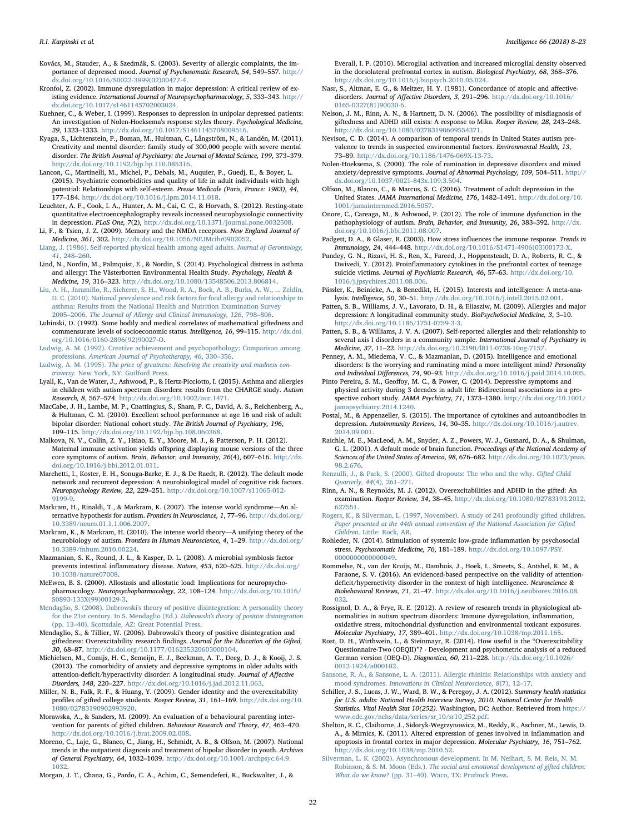- <span id="page-14-41"></span>Kovács, M., Stauder, A., & Szedmák, S. (2003). Severity of allergic complaints, the importance of depressed mood. Journal of Psychosomatic Research, 54, 549–557. [http://](http://dx.doi.org/10.1016/S0022-3999(02)00477-4) [dx.doi.org/10.1016/S0022-3999\(02\)00477-4.](http://dx.doi.org/10.1016/S0022-3999(02)00477-4)
- <span id="page-14-16"></span>Kronfol, Z. (2002). Immune dysregulation in major depression: A critical review of existing evidence. International Journal of Neuropsychopharmacology, 5, 333–343. [http://](http://dx.doi.org/10.1017/s1461145702003024) [dx.doi.org/10.1017/s1461145702003024.](http://dx.doi.org/10.1017/s1461145702003024)
- <span id="page-14-11"></span>Kuehner, C., & Weber, I. (1999). Responses to depression in unipolar depressed patients: An investigation of Nolen-Hoeksema's response styles theory. Psychological Medicine, 29, 1323–1333. [http://dx.doi.org/10.1017/S1461145708009516.](http://dx.doi.org/10.1017/S1461145708009516)
- <span id="page-14-4"></span>Kyaga, S., Lichtenstein, P., Boman, M., Hultman, C., Långström, N., & Landén, M. (2011). Creativity and mental disorder: family study of 300,000 people with severe mental disorder. The British Journal of Psychiatry: the Journal of Mental Science, 199, 373–379. <http://dx.doi.org/10.1192/bjp.bp.110.085316>.
- <span id="page-14-1"></span>Lancon, C., Martinelli, M., Michel, P., Debals, M., Auquier, P., Guedj, E., & Boyer, L. (2015). Psychiatric comorbidities and quality of life in adult individuals with high potential: Relationships with self-esteem. Presse Medicale (Paris, France: 1983), 44, 177–184. <http://dx.doi.org/10.1016/j.lpm.2014.11.018>.
- <span id="page-14-31"></span>Leuchter, A. F., Cook, I. A., Hunter, A. M., Cai, C. C., & Horvath, S. (2012). Resting-state quantitative electroencephalography reveals increased neurophysiologic connectivity in depression. PLoS One, 7(2), [http://dx.doi.org/10.1371/journal.pone.0032508.](http://dx.doi.org/10.1371/journal.pone.0032508)
- <span id="page-14-52"></span>Li, F., & Tsien, J. Z. (2009). Memory and the NMDA receptors. New England Journal of Medicine, 361, 302. [http://dx.doi.org/10.1056/NEJMcibr0902052.](http://dx.doi.org/10.1056/NEJMcibr0902052)
- <span id="page-14-51"></span>[Liang, J. \(1986\). Self-reported physical health among aged adults.](http://refhub.elsevier.com/S0160-2896(16)30332-4/rf0415) Journal of Gerontology, 41[, 248](http://refhub.elsevier.com/S0160-2896(16)30332-4/rf0415)–260.
- <span id="page-14-40"></span>Lind, N., Nordin, M., Palmquist, E., & Nordin, S. (2014). Psychological distress in asthma and allergy: The Västerbotten Environmental Health Study. Psychology, Health & Medicine, 19, 316–323. <http://dx.doi.org/10.1080/13548506.2013.806814>.
- <span id="page-14-23"></span>[Liu, A. H., Jaramillo, R., Sicherer, S. H., Wood, R. A., Bock, A. B., Burks, A. W., ... Zeldin,](http://refhub.elsevier.com/S0160-2896(16)30332-4/rf0425) [D. C. \(2010\). National prevalence and risk factors for food allergy and relationships to](http://refhub.elsevier.com/S0160-2896(16)30332-4/rf0425) [asthma: Results from the National Health and Nutrition Examination Survey](http://refhub.elsevier.com/S0160-2896(16)30332-4/rf0425) 2005–2006. [The Journal of Allergy and Clinical Immunology, 126](http://refhub.elsevier.com/S0160-2896(16)30332-4/rf0425), 798–806.
- <span id="page-14-49"></span>Lubinski, D. (1992). Some bodily and medical correlates of mathematical giftedness and commensurate levels of socioeconomic status. Intelligence, 16, 99–115. [http://dx.doi.](http://dx.doi.org/10.1016/0160-2896(92)90027-O) [org/10.1016/0160-2896\(92\)90027-O.](http://dx.doi.org/10.1016/0160-2896(92)90027-O)
- <span id="page-14-5"></span>[Ludwig, A. M. \(1992\). Creative achievement and psychopathology: Comparison among](http://refhub.elsevier.com/S0160-2896(16)30332-4/rf0435) professions. [American Journal of Psychotherapy, 46](http://refhub.elsevier.com/S0160-2896(16)30332-4/rf0435), 330–356.
- Ludwig, A. M. (1995). The price [of greatness: Resolving the creativity and madness con](http://refhub.elsevier.com/S0160-2896(16)30332-4/rf0440)troversy. [New York, NY: Guilford Press](http://refhub.elsevier.com/S0160-2896(16)30332-4/rf0440).
- <span id="page-14-20"></span>Lyall, K., Van de Water, J., Ashwood, P., & Hertz-Picciotto, I. (2015). Asthma and allergies in children with autism spectrum disorders: results from the CHARGE study. Autism Research, 8, 567–574. [http://dx.doi.org/10.1002/aur.1471.](http://dx.doi.org/10.1002/aur.1471)
- <span id="page-14-0"></span>MacCabe, J. H., Lambe, M. P., Cnattingius, S., Sham, P. C., David, A. S., Reichenberg, A., & Hultman, C. M. (2010). Excellent school performance at age 16 and risk of adult bipolar disorder: National cohort study. The British Journal of Psychiatry, 196, 109–115. [http://dx.doi.org/10.1192/bjp.bp.108.060368.](http://dx.doi.org/10.1192/bjp.bp.108.060368)
- <span id="page-14-47"></span>Malkova, N. V., Collin, Z. Y., Hsiao, E. Y., Moore, M. J., & Patterson, P. H. (2012). Maternal immune activation yields offspring displaying mouse versions of the three core symptoms of autism. Brain, Behavior, and Immunity, 26(4), 607–616. [http://dx.](http://dx.doi.org/10.1016/j.bbi.2012.01.011) [doi.org/10.1016/j.bbi.2012.01.011.](http://dx.doi.org/10.1016/j.bbi.2012.01.011)
- <span id="page-14-10"></span>Marchetti, I., Koster, E. H., Sonuga-Barke, E. J., & De Raedt, R. (2012). The default mode network and recurrent depression: A neurobiological model of cognitive risk factors. Neuropsychology Review, 22, 229–251. [http://dx.doi.org/10.1007/s11065-012-](http://dx.doi.org/10.1007/s11065-012-9199-9) [9199-9.](http://dx.doi.org/10.1007/s11065-012-9199-9)
- <span id="page-14-45"></span>Markram, H., Rinaldi, T., & Markram, K. (2007). The intense world syndrome—An alternative hypothesis for autism. Frontiers in Neuroscience, 1, 77–96. [http://dx.doi.org/](http://dx.doi.org/10.3389/neuro.01.1.1.006.2007) [10.3389/neuro.01.1.1.006.2007.](http://dx.doi.org/10.3389/neuro.01.1.1.006.2007)
- <span id="page-14-28"></span>Markram, K., & Markram, H. (2010). The intense world theory—A unifying theory of the neurobiology of autism. Frontiers in Human Neuroscience, 4, 1–29. [http://dx.doi.org/](http://dx.doi.org/10.3389/fnhum.2010.00224) [10.3389/fnhum.2010.00224](http://dx.doi.org/10.3389/fnhum.2010.00224).
- <span id="page-14-43"></span>Mazmanian, S. K., Round, J. L., & Kasper, D. L. (2008). A microbial symbiosis factor prevents intestinal inflammatory disease. Nature, 453, 620–625. [http://dx.doi.org/](http://dx.doi.org/10.1038/nature07008) [10.1038/nature07008](http://dx.doi.org/10.1038/nature07008).
- <span id="page-14-30"></span>McEwen, B. S. (2000). Allostasis and allostatic load: Implications for neuropsychopharmacology. Neuropsychopharmacology, 22, 108–124. [http://dx.doi.org/10.1016/](http://dx.doi.org/10.1016/S0893-133X(99)00129-3) [S0893-133X\(99\)00129-3.](http://dx.doi.org/10.1016/S0893-133X(99)00129-3)
- <span id="page-14-6"></span>[Mendaglio, S. \(2008\). Dabrowski's theory of positive disintegration: A personality theory](http://refhub.elsevier.com/S0160-2896(16)30332-4/rf0495) [for the 21st century. In S. Mendaglio \(Ed.\).](http://refhub.elsevier.com/S0160-2896(16)30332-4/rf0495) Dabrowski's theory of positive disintegration (pp. 13–[40\). Scottsdale, AZ: Great Potential Press.](http://refhub.elsevier.com/S0160-2896(16)30332-4/rf0495)
- <span id="page-14-27"></span>Mendaglio, S., & Tillier, W. (2006). Dabrowski's theory of positive disintegration and giftedness: Overexcitability research findings. Journal for the Education of the Gifted, 30, 68–87. [http://dx.doi.org/10.1177/016235320603000104.](http://dx.doi.org/10.1177/016235320603000104)
- <span id="page-14-12"></span>Michielsen, M., Comijs, H. C., Semeijn, E. J., Beekman, A. T., Deeg, D. J., & Kooij, J. S. (2013). The comorbidity of anxiety and depressive symptoms in older adults with attention-deficit/hyperactivity disorder: A longitudinal study. Journal of Affective Disorders, 148, 220–227. <http://dx.doi.org/10.1016/j.jad.2012.11.063>.
- <span id="page-14-7"></span>Miller, N. B., Falk, R. F., & Huang, Y. (2009). Gender identity and the overexcitability profiles of gifted college students. Roeper Review, 31, 161–169. [http://dx.doi.org/10.](http://dx.doi.org/10.1080/02783190902993920) [1080/02783190902993920](http://dx.doi.org/10.1080/02783190902993920).
- <span id="page-14-29"></span>Morawska, A., & Sanders, M. (2009). An evaluation of a behavioural parenting intervention for parents of gifted children. Behaviour Research and Theory, 47, 463–470. <http://dx.doi.org/10.1016/j.brat.2009.02.008>.
- <span id="page-14-25"></span>Moreno, C., Laje, G., Blanco, C., Jiang, H., Schmidt, A. B., & Olfson, M. (2007). National trends in the outpatient diagnosis and treatment of bipolar disorder in youth. Archives of General Psychiatry, 64, 1032–1039. [http://dx.doi.org/10.1001/archpsyc.64.9.](http://dx.doi.org/10.1001/archpsyc.64.9.1032) [1032.](http://dx.doi.org/10.1001/archpsyc.64.9.1032)
- <span id="page-14-46"></span>Morgan, J. T., Chana, G., Pardo, C. A., Achim, C., Semendeferi, K., Buckwalter, J., &

Everall, I. P. (2010). Microglial activation and increased microglial density observed in the dorsolateral prefrontal cortex in autism. Biological Psychiatry, 68, 368–376. [http://dx.doi.org/10.1016/j.biopsych.2010.05.024.](http://dx.doi.org/10.1016/j.biopsych.2010.05.024)

- <span id="page-14-14"></span>Nasr, S., Altman, E. G., & Meltzer, H. Y. (1981). Concordance of atopic and affectivedisorders. Journal of Affective Disorders, 3, 291-296. [http://dx.doi.org/10.1016/](http://dx.doi.org/10.1016/0165-0327(81)90030-6) [0165-0327\(81\)90030-6.](http://dx.doi.org/10.1016/0165-0327(81)90030-6)
- <span id="page-14-37"></span>Nelson, J. M., Rinn, A. N., & Hartnett, D. N. (2006). The possibility of misdiagnosis of giftedness and ADHD still exists: A response to Mika. Roeper Review, 28, 243–248. <http://dx.doi.org/10.1080/02783190609554371>.
- <span id="page-14-42"></span>Nevison, C. D. (2014). A comparison of temporal trends in United States autism prevalence to trends in suspected environmental factors. Environmental Health, 13, 73–89. [http://dx.doi.org/10.1186/1476-069X-13-73.](http://dx.doi.org/10.1186/1476-069X-13-73)
- <span id="page-14-9"></span>Nolen-Hoeksema, S. (2000). The role of rumination in depressive disorders and mixed anxiety/depressive symptoms. Journal of Abnormal Psychology, 109, 504–511. [http://](http://dx.doi.org/10.1037/0021-843x.109.3.504) [dx.doi.org/10.1037/0021-843x.109.3.504.](http://dx.doi.org/10.1037/0021-843x.109.3.504)
- <span id="page-14-21"></span>Olfson, M., Blanco, C., & Marcus, S. C. (2016). Treatment of adult depression in the United States. JAMA International Medicine, 176, 1482–1491. [http://dx.doi.org/10.](http://dx.doi.org/10.1001/jamainternmed.2016.5057) [1001/jamainternmed.2016.5057](http://dx.doi.org/10.1001/jamainternmed.2016.5057).
- <span id="page-14-48"></span>Onore, C., Careaga, M., & Ashwood, P. (2012). The role of immune dysfunction in the pathophysiology of autism. Brain, Behavior, and Immunity, 26, 383–392. [http://dx.](http://dx.doi.org/10.1016/j.bbi.2011.08.007) [doi.org/10.1016/j.bbi.2011.08.007.](http://dx.doi.org/10.1016/j.bbi.2011.08.007)
- <span id="page-14-13"></span>Padgett, D. A., & Glaser, R. (2003). How stress influences the immune response. Trends in Immunology, 24, 444–448. [http://dx.doi.org/10.1016/S1471-4906\(03\)00173-X.](http://dx.doi.org/10.1016/S1471-4906(03)00173-X)
- <span id="page-14-34"></span>Pandey, G. N., Rizavi, H. S., Ren, X., Fareed, J., Hoppensteadt, D. A., Roberts, R. C., & Dwivedi, Y. (2012). Proinflammatory cytokines in the prefrontal cortex of teenage suicide victims. Journal of Psychiatric Research, 46, 57–63. [http://dx.doi.org/10.](http://dx.doi.org/10.1016/j.jpsychires.2011.08.006) [1016/j.jpsychires.2011.08.006](http://dx.doi.org/10.1016/j.jpsychires.2011.08.006).
- <span id="page-14-3"></span>Pässler, K., Beinicke, A., & Benedikt, H. (2015). Interests and intelligence: A meta-analysis. Intelligence, 50, 30–51. [http://dx.doi.org/10.1016/j.intell.2015.02.001.](http://dx.doi.org/10.1016/j.intell.2015.02.001)
- <span id="page-14-36"></span>Patten, S. B., Williams, J. V., Lavorato, D. H., & Eliasziw, M. (2009). Allergies and major depression: A longitudinal community study. BioPsychoSocial Medicine, 3, 3–10. <http://dx.doi.org/10.1186/1751-0759-3-3>.
- <span id="page-14-35"></span>Patten, S. B., & Williams, J. V. A. (2007). Self-reported allergies and their relationship to several axis I disorders in a community sample. *International Journal of Psychiatry in*<br>Medicine, 37, 11–22. <http://dx.doi.org/10.2190/l811-0738-10ng-7157>.
- <span id="page-14-8"></span>Penney, A. M., Miedema, V. C., & Mazmanian, D. (2015). Intelligence and emotional disorders: Is the worrying and ruminating mind a more intelligent mind? Personality and Individual Differences, 74, 90–93. [http://dx.doi.org/10.1016/j.paid.2014.10.005.](http://dx.doi.org/10.1016/j.paid.2014.10.005)
- <span id="page-14-22"></span>Pinto Pereira, S. M., Geoffoy, M. C., & Power, C. (2014). Depressive symptoms and physical activity during 3 decades in adult life: Bidirectional associations in a prospective cohort study. JAMA Psychiatry, 71, 1373–1380. [http://dx.doi.org/10.1001/](http://dx.doi.org/10.1001/jamapsychiatry.2014.1240) [jamapsychiatry.2014.1240.](http://dx.doi.org/10.1001/jamapsychiatry.2014.1240)
- <span id="page-14-15"></span>Postal, M., & Appenzeller, S. (2015). The importance of cytokines and autoantibodies in depression. Autoimmunity Reviews, 14, 30–35. [http://dx.doi.org/10.1016/j.autrev.](http://dx.doi.org/10.1016/j.autrev.2014.09.001) [2014.09.001](http://dx.doi.org/10.1016/j.autrev.2014.09.001).
- <span id="page-14-32"></span>Raichle, M. E., MacLeod, A. M., Snyder, A. Z., Powers, W. J., Gusnard, D. A., & Shulman, G. L. (2001). A default mode of brain function. Proceedings of the National Academy of Sciences of the United States of America, 98, 676–682. [http://dx.doi.org/10.1073/pnas.](http://dx.doi.org/10.1073/pnas.98.2.676) [98.2.676.](http://dx.doi.org/10.1073/pnas.98.2.676)
- <span id="page-14-50"></span>[Renzulli, J., & Park, S. \(2000\). Gifted dropouts: The who and the why.](http://refhub.elsevier.com/S0160-2896(16)30332-4/rf5025) Gifted Child [Quarterly,](http://refhub.elsevier.com/S0160-2896(16)30332-4/rf5025) 44(4), 261–271.
- <span id="page-14-38"></span>Rinn, A. N., & Reynolds, M. J. (2012). Overexcitabilities and ADHD in the gifted: An examination. Roeper Review, 34, 38–45. [http://dx.doi.org/10.1080/02783193.2012.](http://dx.doi.org/10.1080/02783193.2012.627551) [627551](http://dx.doi.org/10.1080/02783193.2012.627551).
- <span id="page-14-18"></span>[Rogers, K., & Silverman, L. \(1997, November\). A study of 241 profoundly gifted children.](http://refhub.elsevier.com/S0160-2896(16)30332-4/rf0610) [Paper presented at the 44th annual convention of the National Association for Gifted](http://refhub.elsevier.com/S0160-2896(16)30332-4/rf0610) Children[. Little: Rock, AR.](http://refhub.elsevier.com/S0160-2896(16)30332-4/rf0610)
- <span id="page-14-39"></span>Rohleder, N. (2014). Stimulation of systemic low-grade inflammation by psychosocial stress. Psychosomatic Medicine, 76, 181–189. [http://dx.doi.org/10.1097/PSY.](http://dx.doi.org/10.1097/PSY.0000000000000049) [0000000000000049.](http://dx.doi.org/10.1097/PSY.0000000000000049)
- <span id="page-14-2"></span>Rommelse, N., van der Kruijs, M., Damhuis, J., Hoek, I., Smeets, S., Antshel, K. M., & Faraone, S. V. (2016). An evidenced-based perspective on the validity of attentiondeficit/hyperactivity disorder in the context of high intelligence. Neuroscience & Biobehavioral Reviews, 71, 21–47. [http://dx.doi.org/10.1016/j.neubiorev.2016.08.](http://dx.doi.org/10.1016/j.neubiorev.2016.08.032) [032](http://dx.doi.org/10.1016/j.neubiorev.2016.08.032).
- <span id="page-14-44"></span>Rossignol, D. A., & Frye, R. E. (2012). A review of research trends in physiological abnormalities in autism spectrum disorders: Immune dysregulation, inflammation, oxidative stress, mitochondrial dysfunction and environmental toxicant exposures. Molecular Psychiatry, 17, 389–401. <http://dx.doi.org/10.1038/mp.2011.165>.
- <span id="page-14-26"></span>Rost, D. H., Wirthwein, L., & Steinmayr, R. (2014). How useful is the "Overexcitability Questionnaire-Two (OEQII)"? - Development and psychometric analysis of a reduced German version (OEQ-D). Diagnostica, 60, 211–228. [http://dx.doi.org/10.1026/](http://dx.doi.org/10.1026/0012-1924/a000102) [0012-1924/a000102](http://dx.doi.org/10.1026/0012-1924/a000102).
- <span id="page-14-17"></span>[Sansone, R. A., & Sansone, L. A. \(2011\). Allergic rhinitis: Relationships with anxiety and](http://refhub.elsevier.com/S0160-2896(16)30332-4/rf0635) mood syndromes. [Innovations in Clinical Neuroscience, 8](http://refhub.elsevier.com/S0160-2896(16)30332-4/rf0635)(7), 12–17.
- <span id="page-14-24"></span>Schiller, J. S., Lucas, J. W., Ward, B. W., & Peregoy, J. A. (2012). Summary health statistics for U.S. adults: National Health Interview Survey, 2010. National Center for Health Statistics. Vital Health Stat 10(252). Washington, DC: Author. Retrieved from [https://](https://www.cdc.gov/nchs/data/series/sr_10/sr10_252.pdf) [www.cdc.gov/nchs/data/series/sr\\_10/sr10\\_252.pdf.](https://www.cdc.gov/nchs/data/series/sr_10/sr10_252.pdf)
- <span id="page-14-33"></span>Shelton, R. C., Claiborne, J., Sidoryk-Wegrzynowicz, M., Reddy, R., Aschner, M., Lewis, D. A., & Mirnics, K. (2011). Altered expression of genes involved in inflammation and apoptosis in frontal cortex in major depression. Molecular Psychiatry, 16, 751–762. [http://dx.doi.org/10.1038/mp.2010.52.](http://dx.doi.org/10.1038/mp.2010.52)
- <span id="page-14-19"></span>[Silverman, L. K. \(2002\). Asynchronous development. In M. Neihart, S. M. Reis, N. M.](http://refhub.elsevier.com/S0160-2896(16)30332-4/rf0650) Robinson, & S. M. Moon (Eds.). [The social and emotional development of gifted children:](http://refhub.elsevier.com/S0160-2896(16)30332-4/rf0650) What do we know? (pp. 31–[40\). Waco, TX: Prufrock Press](http://refhub.elsevier.com/S0160-2896(16)30332-4/rf0650).